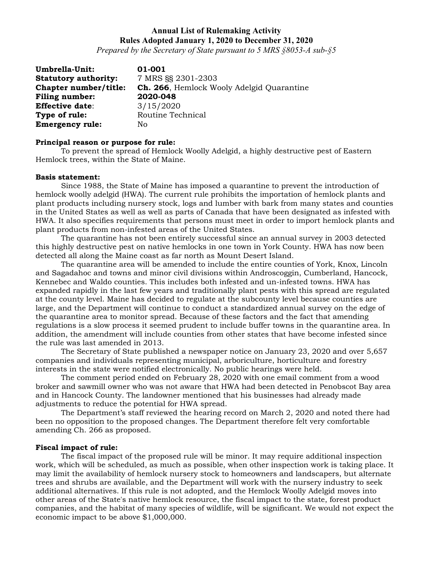*Prepared by the Secretary of State pursuant to 5 MRS §8053-A sub-§5*

| Umbrella-Unit:              | 01-001                                            |
|-----------------------------|---------------------------------------------------|
| <b>Statutory authority:</b> | 7 MRS §§ 2301-2303                                |
| Chapter number/title:       | <b>Ch. 266</b> , Hemlock Wooly Adelgid Quarantine |
| <b>Filing number:</b>       | 2020-048                                          |
| <b>Effective date:</b>      | 3/15/2020                                         |
| Type of rule:               | Routine Technical                                 |
| <b>Emergency rule:</b>      | No.                                               |

#### **Principal reason or purpose for rule:**

To prevent the spread of Hemlock Woolly Adelgid, a highly destructive pest of Eastern Hemlock trees, within the State of Maine.

#### **Basis statement:**

Since 1988, the State of Maine has imposed a quarantine to prevent the introduction of hemlock woolly adelgid (HWA). The current rule prohibits the importation of hemlock plants and plant products including nursery stock, logs and lumber with bark from many states and counties in the United States as well as well as parts of Canada that have been designated as infested with HWA. It also specifies requirements that persons must meet in order to import hemlock plants and plant products from non-infested areas of the United States.

The quarantine has not been entirely successful since an annual survey in 2003 detected this highly destructive pest on native hemlocks in one town in York County. HWA has now been detected all along the Maine coast as far north as Mount Desert Island.

The quarantine area will be amended to include the entire counties of York, Knox, Lincoln and Sagadahoc and towns and minor civil divisions within Androscoggin, Cumberland, Hancock, Kennebec and Waldo counties. This includes both infested and un-infested towns. HWA has expanded rapidly in the last few years and traditionally plant pests with this spread are regulated at the county level. Maine has decided to regulate at the subcounty level because counties are large, and the Department will continue to conduct a standardized annual survey on the edge of the quarantine area to monitor spread. Because of these factors and the fact that amending regulations is a slow process it seemed prudent to include buffer towns in the quarantine area. In addition, the amendment will include counties from other states that have become infested since the rule was last amended in 2013.

The Secretary of State published a newspaper notice on January 23, 2020 and over 5,657 companies and individuals representing municipal, arboriculture, horticulture and forestry interests in the state were notified electronically. No public hearings were held.

The comment period ended on February 28, 2020 with one email comment from a wood broker and sawmill owner who was not aware that HWA had been detected in Penobscot Bay area and in Hancock County. The landowner mentioned that his businesses had already made adjustments to reduce the potential for HWA spread.

The Department's staff reviewed the hearing record on March 2, 2020 and noted there had been no opposition to the proposed changes. The Department therefore felt very comfortable amending Ch. 266 as proposed.

#### **Fiscal impact of rule:**

The fiscal impact of the proposed rule will be minor. It may require additional inspection work, which will be scheduled, as much as possible, when other inspection work is taking place. It may limit the availability of hemlock nursery stock to homeowners and landscapers, but alternate trees and shrubs are available, and the Department will work with the nursery industry to seek additional alternatives. If this rule is not adopted, and the Hemlock Woolly Adelgid moves into other areas of the State's native hemlock resource, the fiscal impact to the state, forest product companies, and the habitat of many species of wildlife, will be significant. We would not expect the economic impact to be above \$1,000,000.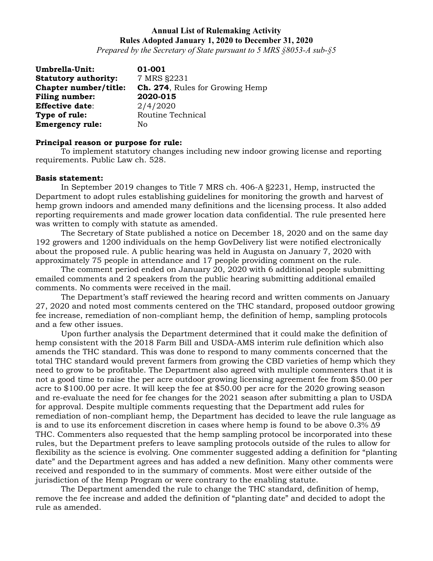*Prepared by the Secretary of State pursuant to 5 MRS §8053-A sub-§5*

| Umbrella-Unit:              | 01-001                                 |
|-----------------------------|----------------------------------------|
| <b>Statutory authority:</b> | 7 MRS §2231                            |
| Chapter number/title:       | <b>Ch. 274, Rules for Growing Hemp</b> |
| <b>Filing number:</b>       | 2020-015                               |
| <b>Effective date:</b>      | 2/4/2020                               |
| Type of rule:               | Routine Technical                      |
| <b>Emergency rule:</b>      | No                                     |

#### **Principal reason or purpose for rule:**

To implement statutory changes including new indoor growing license and reporting requirements. Public Law ch. 528.

#### **Basis statement:**

In September 2019 changes to Title 7 MRS ch. 406-A §2231, Hemp, instructed the Department to adopt rules establishing guidelines for monitoring the growth and harvest of hemp grown indoors and amended many definitions and the licensing process. It also added reporting requirements and made grower location data confidential. The rule presented here was written to comply with statute as amended.

The Secretary of State published a notice on December 18, 2020 and on the same day 192 growers and 1200 individuals on the hemp GovDelivery list were notified electronically about the proposed rule. A public hearing was held in Augusta on January 7, 2020 with approximately 75 people in attendance and 17 people providing comment on the rule.

The comment period ended on January 20, 2020 with 6 additional people submitting emailed comments and 2 speakers from the public hearing submitting additional emailed comments. No comments were received in the mail.

The Department's staff reviewed the hearing record and written comments on January 27, 2020 and noted most comments centered on the THC standard, proposed outdoor growing fee increase, remediation of non-compliant hemp, the definition of hemp, sampling protocols and a few other issues.

Upon further analysis the Department determined that it could make the definition of hemp consistent with the 2018 Farm Bill and USDA-AMS interim rule definition which also amends the THC standard. This was done to respond to many comments concerned that the total THC standard would prevent farmers from growing the CBD varieties of hemp which they need to grow to be profitable. The Department also agreed with multiple commenters that it is not a good time to raise the per acre outdoor growing licensing agreement fee from \$50.00 per acre to \$100.00 per acre. It will keep the fee at \$50.00 per acre for the 2020 growing season and re-evaluate the need for fee changes for the 2021 season after submitting a plan to USDA for approval. Despite multiple comments requesting that the Department add rules for remediation of non-compliant hemp, the Department has decided to leave the rule language as is and to use its enforcement discretion in cases where hemp is found to be above 0.3% Δ9 THC. Commenters also requested that the hemp sampling protocol be incorporated into these rules, but the Department prefers to leave sampling protocols outside of the rules to allow for flexibility as the science is evolving. One commenter suggested adding a definition for "planting date" and the Department agrees and has added a new definition. Many other comments were received and responded to in the summary of comments. Most were either outside of the jurisdiction of the Hemp Program or were contrary to the enabling statute.

The Department amended the rule to change the THC standard, definition of hemp, remove the fee increase and added the definition of "planting date" and decided to adopt the rule as amended.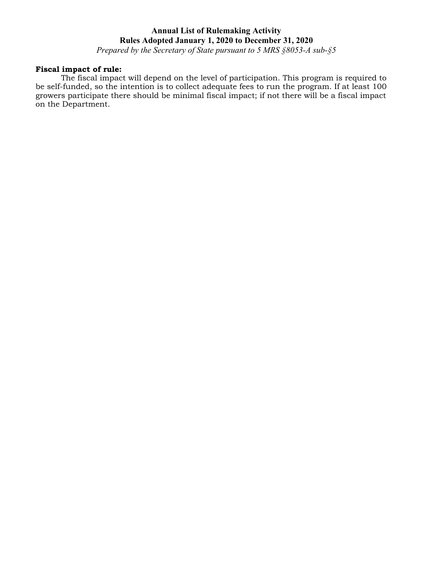*Prepared by the Secretary of State pursuant to 5 MRS §8053-A sub-§5*

## **Fiscal impact of rule:**

The fiscal impact will depend on the level of participation. This program is required to be self-funded, so the intention is to collect adequate fees to run the program. If at least 100 growers participate there should be minimal fiscal impact; if not there will be a fiscal impact on the Department.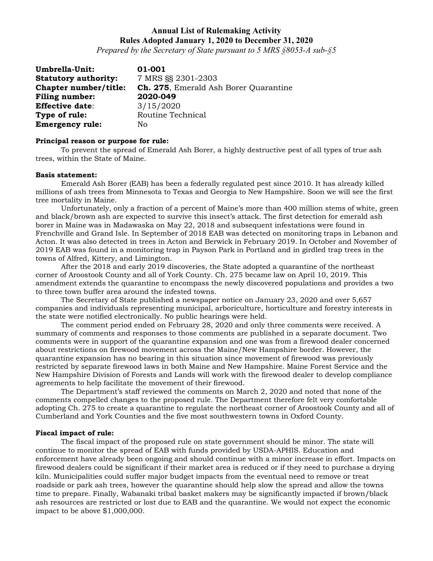*Prepared by the Secretary of State pursuant to 5 MRS §8053-A sub-§5*

**Umbrella-Unit: 01-001**<br>**Statutory authority:** 7 MRS §§ 2301-2303 **Statutory authority: Chapter number/title: Ch. 275**, Emerald Ash Borer Quarantine **Filing number: 2020-049 Effective date**: 3/15/2020 **Type of rule:** Routine Technical **Emergency rule:** No

#### **Principal reason or purpose for rule:**

To prevent the spread of Emerald Ash Borer, a highly destructive pest of all types of true ash trees, within the State of Maine.

#### **Basis statement:**

Emerald Ash Borer (EAB) has been a federally regulated pest since 2010. It has already killed millions of ash trees from Minnesota to Texas and Georgia to New Hampshire. Soon we will see the first tree mortality in Maine.

Unfortunately, only a fraction of a percent of Maine's more than 400 million stems of white, green and black/brown ash are expected to survive this insect's attack. The first detection for emerald ash borer in Maine was in Madawaska on May 22, 2018 and subsequent infestations were found in Frenchville and Grand Isle. In September of 2018 EAB was detected on monitoring traps in Lebanon and Acton. It was also detected in trees in Acton and Berwick in February 2019. In October and November of 2019 EAB was found in a monitoring trap in Payson Park in Portland and in girdled trap trees in the towns of Alfred, Kittery, and Limington.

After the 2018 and early 2019 discoveries, the State adopted a quarantine of the northeast corner of Aroostook County and all of York County. Ch. 275 became law on April 10, 2019. This amendment extends the quarantine to encompass the newly discovered populations and provides a two to three town buffer area around the infested towns.

The Secretary of State published a newspaper notice on January 23, 2020 and over 5,657 companies and individuals representing municipal, arboriculture, horticulture and forestry interests in the state were notified electronically. No public hearings were held.

The comment period ended on February 28, 2020 and only three comments were received. A summary of comments and responses to those comments are published in a separate document. Two comments were in support of the quarantine expansion and one was from a firewood dealer concerned about restrictions on firewood movement across the Maine/New Hampshire border. However, the quarantine expansion has no bearing in this situation since movement of firewood was previously restricted by separate firewood laws in both Maine and New Hampshire. Maine Forest Service and the New Hampshire Division of Forests and Lands will work with the firewood dealer to develop compliance agreements to help facilitate the movement of their firewood.

The Department's staff reviewed the comments on March 2, 2020 and noted that none of the comments compelled changes to the proposed rule. The Department therefore felt very comfortable adopting Ch. 275 to create a quarantine to regulate the northeast corner of Aroostook County and all of Cumberland and York Counties and the five most southwestern towns in Oxford County.

#### **Fiscal impact of rule:**

The fiscal impact of the proposed rule on state government should be minor. The state will continue to monitor the spread of EAB with funds provided by USDA-APHIS. Education and enforcement have already been ongoing and should continue with a minor increase in effort. Impacts on firewood dealers could be significant if their market area is reduced or if they need to purchase a drying kiln. Municipalities could suffer major budget impacts from the eventual need to remove or treat roadside or park ash trees, however the quarantine should help slow the spread and allow the towns time to prepare. Finally, Wabanaki tribal basket makers may be significantly impacted if brown/black ash resources are restricted or lost due to EAB and the quarantine. We would not expect the economic impact to be above \$1,000,000.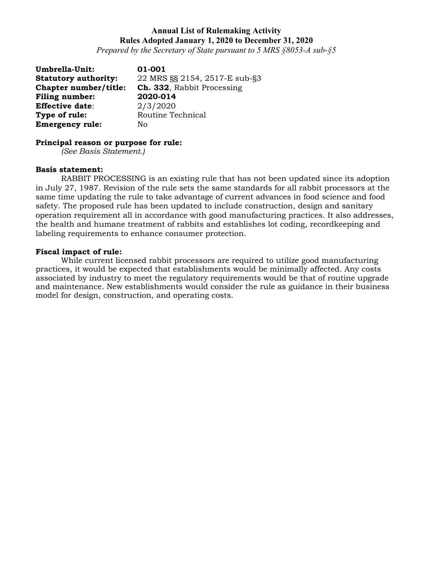*Prepared by the Secretary of State pursuant to 5 MRS §8053-A sub-§5*

**Umbrella-Unit:** 01-001<br>**Statutory authority:** 22 MRS **Statutory authority:** 22 MRS §§ 2154, 2517-E sub-§3 **Chapter number/title: Ch. 332**, Rabbit Processing **Filing number: 2020-014 Effective date**: 2/3/2020 **Type of rule:** Routine Technical **Emergency rule:** No

# **Principal reason or purpose for rule:**

*(See Basis Statement.)*

#### **Basis statement:**

RABBIT PROCESSING is an existing rule that has not been updated since its adoption in July 27, 1987. Revision of the rule sets the same standards for all rabbit processors at the same time updating the rule to take advantage of current advances in food science and food safety. The proposed rule has been updated to include construction, design and sanitary operation requirement all in accordance with good manufacturing practices. It also addresses, the health and humane treatment of rabbits and establishes lot coding, recordkeeping and labeling requirements to enhance consumer protection.

### **Fiscal impact of rule:**

While current licensed rabbit processors are required to utilize good manufacturing practices, it would be expected that establishments would be minimally affected. Any costs associated by industry to meet the regulatory requirements would be that of routine upgrade and maintenance. New establishments would consider the rule as guidance in their business model for design, construction, and operating costs.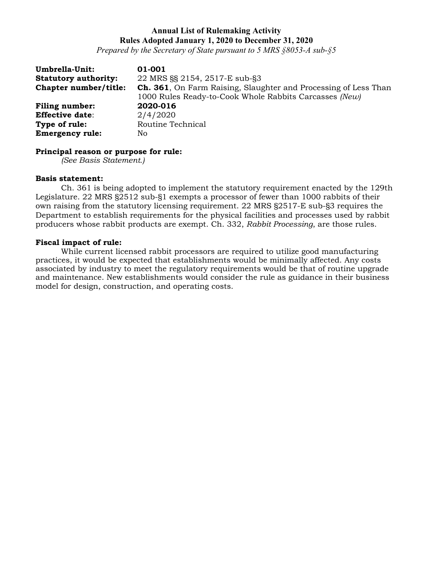*Prepared by the Secretary of State pursuant to 5 MRS §8053-A sub-§5*

| Umbrella-Unit:              | 01-001                                                                  |
|-----------------------------|-------------------------------------------------------------------------|
| <b>Statutory authority:</b> | 22 MRS SS 2154, 2517-E sub-S3                                           |
| Chapter number/title:       | <b>Ch. 361</b> , On Farm Raising, Slaughter and Processing of Less Than |
|                             | 1000 Rules Ready-to-Cook Whole Rabbits Carcasses (New)                  |
| <b>Filing number:</b>       | 2020-016                                                                |
| <b>Effective date:</b>      | 2/4/2020                                                                |
| Type of rule:               | Routine Technical                                                       |
| <b>Emergency rule:</b>      | No.                                                                     |

### **Principal reason or purpose for rule:**

*(See Basis Statement.)*

#### **Basis statement:**

Ch. 361 is being adopted to implement the statutory requirement enacted by the 129th Legislature. 22 MRS §2512 sub-§1 exempts a processor of fewer than 1000 rabbits of their own raising from the statutory licensing requirement. 22 MRS §2517-E sub-§3 requires the Department to establish requirements for the physical facilities and processes used by rabbit producers whose rabbit products are exempt. Ch. 332, *Rabbit Processing*, are those rules.

### **Fiscal impact of rule:**

While current licensed rabbit processors are required to utilize good manufacturing practices, it would be expected that establishments would be minimally affected. Any costs associated by industry to meet the regulatory requirements would be that of routine upgrade and maintenance. New establishments would consider the rule as guidance in their business model for design, construction, and operating costs.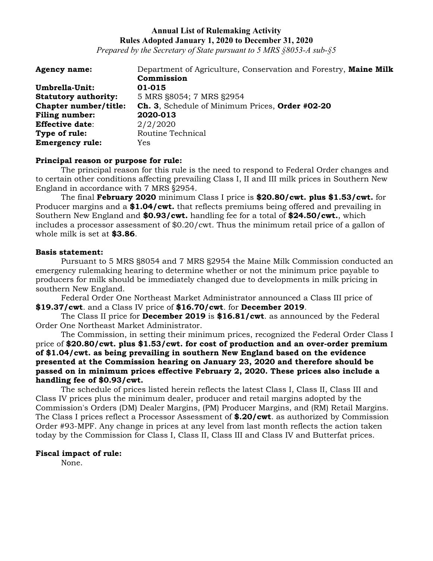*Prepared by the Secretary of State pursuant to 5 MRS §8053-A sub-§5*

| <b>Agency name:</b>          | Department of Agriculture, Conservation and Forestry, Maine Milk |
|------------------------------|------------------------------------------------------------------|
|                              | Commission                                                       |
| Umbrella-Unit:               | 01-015                                                           |
| <b>Statutory authority:</b>  | 5 MRS §8054; 7 MRS §2954                                         |
| <b>Chapter number/title:</b> | Ch. 3, Schedule of Minimum Prices, Order #02-20                  |
| <b>Filing number:</b>        | 2020-013                                                         |
| <b>Effective date:</b>       | 2/2/2020                                                         |
| Type of rule:                | Routine Technical                                                |
| <b>Emergency rule:</b>       | Yes                                                              |

#### **Principal reason or purpose for rule:**

The principal reason for this rule is the need to respond to Federal Order changes and to certain other conditions affecting prevailing Class I, II and III milk prices in Southern New England in accordance with 7 MRS §2954.

The final **February 2020** minimum Class I price is **\$20.80/cwt. plus \$1.53/cwt.** for Producer margins and a **\$1.04/cwt.** that reflects premiums being offered and prevailing in Southern New England and **\$0.93/cwt.** handling fee for a total of **\$24.50/cwt.**, which includes a processor assessment of \$0.20/cwt. Thus the minimum retail price of a gallon of whole milk is set at **\$3.86**.

### **Basis statement:**

Pursuant to 5 MRS §8054 and 7 MRS §2954 the Maine Milk Commission conducted an emergency rulemaking hearing to determine whether or not the minimum price payable to producers for milk should be immediately changed due to developments in milk pricing in southern New England.

Federal Order One Northeast Market Administrator announced a Class III price of **\$19.37/cwt**. and a Class IV price of **\$16.70/cwt**. for **December 2019**.

The Class II price for **December 2019** is **\$16.81/cwt**. as announced by the Federal Order One Northeast Market Administrator.

The Commission, in setting their minimum prices, recognized the Federal Order Class I price of **\$20.80/cwt. plus \$1.53/cwt. for cost of production and an over-order premium of \$1.04/cwt. as being prevailing in southern New England based on the evidence presented at the Commission hearing on January 23, 2020 and therefore should be passed on in minimum prices effective February 2, 2020. These prices also include a handling fee of \$0.93/cwt.**

The schedule of prices listed herein reflects the latest Class I, Class II, Class III and Class IV prices plus the minimum dealer, producer and retail margins adopted by the Commission's Orders (DM) Dealer Margins, (PM) Producer Margins, and (RM) Retail Margins. The Class I prices reflect a Processor Assessment of **\$.20/cwt**. as authorized by Commission Order #93-MPF. Any change in prices at any level from last month reflects the action taken today by the Commission for Class I, Class II, Class III and Class IV and Butterfat prices.

#### **Fiscal impact of rule:**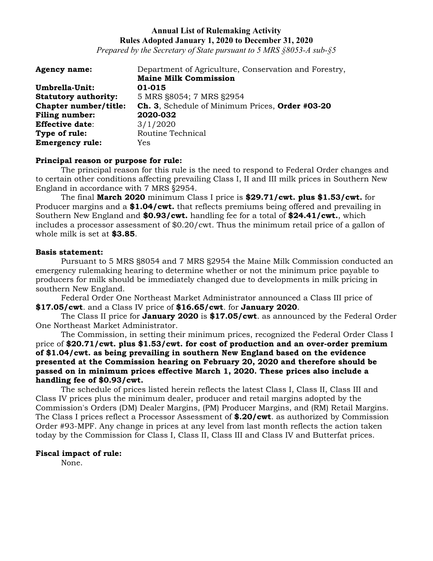*Prepared by the Secretary of State pursuant to 5 MRS §8053-A sub-§5*

| <b>Agency name:</b>         | Department of Agriculture, Conservation and Forestry, |
|-----------------------------|-------------------------------------------------------|
|                             | <b>Maine Milk Commission</b>                          |
| Umbrella-Unit:              | 01-015                                                |
| <b>Statutory authority:</b> | 5 MRS §8054; 7 MRS §2954                              |
| Chapter number/title:       | Ch. 3, Schedule of Minimum Prices, Order #03-20       |
| <b>Filing number:</b>       | 2020-032                                              |
| <b>Effective date:</b>      | 3/1/2020                                              |
| Type of rule:               | Routine Technical                                     |
| <b>Emergency rule:</b>      | Yes                                                   |

### **Principal reason or purpose for rule:**

The principal reason for this rule is the need to respond to Federal Order changes and to certain other conditions affecting prevailing Class I, II and III milk prices in Southern New England in accordance with 7 MRS §2954.

The final **March 2020** minimum Class I price is **\$29.71/cwt. plus \$1.53/cwt.** for Producer margins and a **\$1.04/cwt.** that reflects premiums being offered and prevailing in Southern New England and **\$0.93/cwt.** handling fee for a total of **\$24.41/cwt.**, which includes a processor assessment of \$0.20/cwt. Thus the minimum retail price of a gallon of whole milk is set at **\$3.85**.

### **Basis statement:**

Pursuant to 5 MRS §8054 and 7 MRS §2954 the Maine Milk Commission conducted an emergency rulemaking hearing to determine whether or not the minimum price payable to producers for milk should be immediately changed due to developments in milk pricing in southern New England.

Federal Order One Northeast Market Administrator announced a Class III price of **\$17.05/cwt**. and a Class IV price of **\$16.65/cwt**. for **January 2020**.

The Class II price for **January 2020** is **\$17.05/cwt**. as announced by the Federal Order One Northeast Market Administrator.

The Commission, in setting their minimum prices, recognized the Federal Order Class I price of **\$20.71/cwt. plus \$1.53/cwt. for cost of production and an over-order premium of \$1.04/cwt. as being prevailing in southern New England based on the evidence presented at the Commission hearing on February 20, 2020 and therefore should be passed on in minimum prices effective March 1, 2020. These prices also include a handling fee of \$0.93/cwt.**

The schedule of prices listed herein reflects the latest Class I, Class II, Class III and Class IV prices plus the minimum dealer, producer and retail margins adopted by the Commission's Orders (DM) Dealer Margins, (PM) Producer Margins, and (RM) Retail Margins. The Class I prices reflect a Processor Assessment of **\$.20/cwt**. as authorized by Commission Order #93-MPF. Any change in prices at any level from last month reflects the action taken today by the Commission for Class I, Class II, Class III and Class IV and Butterfat prices.

### **Fiscal impact of rule:**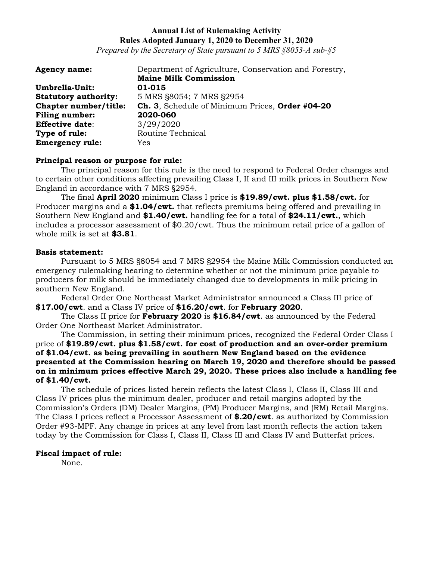*Prepared by the Secretary of State pursuant to 5 MRS §8053-A sub-§5*

| <b>Agency name:</b>         | Department of Agriculture, Conservation and Forestry, |
|-----------------------------|-------------------------------------------------------|
|                             | <b>Maine Milk Commission</b>                          |
| Umbrella-Unit:              | 01-015                                                |
| <b>Statutory authority:</b> | 5 MRS §8054; 7 MRS §2954                              |
| Chapter number/title:       | Ch. 3, Schedule of Minimum Prices, Order #04-20       |
| <b>Filing number:</b>       | 2020-060                                              |
| <b>Effective date:</b>      | 3/29/2020                                             |
| Type of rule:               | Routine Technical                                     |
| <b>Emergency rule:</b>      | Yes                                                   |

### **Principal reason or purpose for rule:**

The principal reason for this rule is the need to respond to Federal Order changes and to certain other conditions affecting prevailing Class I, II and III milk prices in Southern New England in accordance with 7 MRS §2954.

The final **April 2020** minimum Class I price is **\$19.89/cwt. plus \$1.58/cwt.** for Producer margins and a **\$1.04/cwt.** that reflects premiums being offered and prevailing in Southern New England and **\$1.40/cwt.** handling fee for a total of **\$24.11/cwt.**, which includes a processor assessment of \$0.20/cwt. Thus the minimum retail price of a gallon of whole milk is set at **\$3.81**.

### **Basis statement:**

Pursuant to 5 MRS §8054 and 7 MRS §2954 the Maine Milk Commission conducted an emergency rulemaking hearing to determine whether or not the minimum price payable to producers for milk should be immediately changed due to developments in milk pricing in southern New England.

Federal Order One Northeast Market Administrator announced a Class III price of **\$17.00/cwt**. and a Class IV price of **\$16.20/cwt**. for **February 2020**.

The Class II price for **February 2020** is **\$16.84/cwt**. as announced by the Federal Order One Northeast Market Administrator.

The Commission, in setting their minimum prices, recognized the Federal Order Class I price of **\$19.89/cwt. plus \$1.58/cwt. for cost of production and an over-order premium of \$1.04/cwt. as being prevailing in southern New England based on the evidence presented at the Commission hearing on March 19, 2020 and therefore should be passed on in minimum prices effective March 29, 2020. These prices also include a handling fee of \$1.40/cwt.**

The schedule of prices listed herein reflects the latest Class I, Class II, Class III and Class IV prices plus the minimum dealer, producer and retail margins adopted by the Commission's Orders (DM) Dealer Margins, (PM) Producer Margins, and (RM) Retail Margins. The Class I prices reflect a Processor Assessment of **\$.20/cwt**. as authorized by Commission Order #93-MPF. Any change in prices at any level from last month reflects the action taken today by the Commission for Class I, Class II, Class III and Class IV and Butterfat prices.

#### **Fiscal impact of rule:**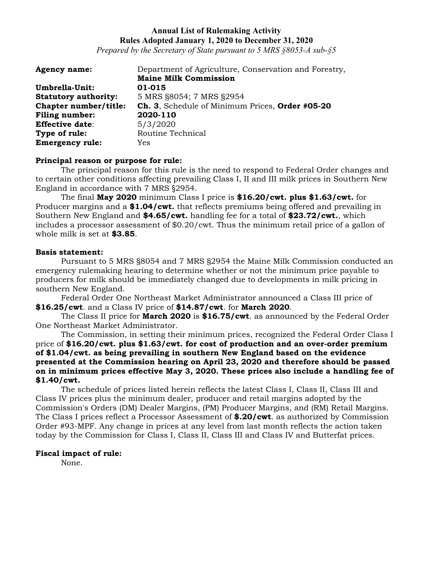*Prepared by the Secretary of State pursuant to 5 MRS §8053-A sub-§5*

| <b>Agency name:</b>         | Department of Agriculture, Conservation and Forestry, |
|-----------------------------|-------------------------------------------------------|
|                             | <b>Maine Milk Commission</b>                          |
| Umbrella-Unit:              | 01-015                                                |
| <b>Statutory authority:</b> | 5 MRS §8054; 7 MRS §2954                              |
| Chapter number/title:       | Ch. 3, Schedule of Minimum Prices, Order #05-20       |
| <b>Filing number:</b>       | 2020-110                                              |
| <b>Effective date:</b>      | 5/3/2020                                              |
| Type of rule:               | Routine Technical                                     |
| <b>Emergency rule:</b>      | Yes                                                   |

### **Principal reason or purpose for rule:**

The principal reason for this rule is the need to respond to Federal Order changes and to certain other conditions affecting prevailing Class I, II and III milk prices in Southern New England in accordance with 7 MRS §2954.

The final **May 2020** minimum Class I price is **\$16.20/cwt. plus \$1.63/cwt.** for Producer margins and a **\$1.04/cwt.** that reflects premiums being offered and prevailing in Southern New England and **\$4.65/cwt.** handling fee for a total of **\$23.72/cwt.**, which includes a processor assessment of \$0.20/cwt. Thus the minimum retail price of a gallon of whole milk is set at **\$3.85**.

### **Basis statement:**

Pursuant to 5 MRS §8054 and 7 MRS §2954 the Maine Milk Commission conducted an emergency rulemaking hearing to determine whether or not the minimum price payable to producers for milk should be immediately changed due to developments in milk pricing in southern New England.

Federal Order One Northeast Market Administrator announced a Class III price of **\$16.25/cwt**. and a Class IV price of **\$14.87/cwt**. for **March 2020**.

The Class II price for **March 2020** is **\$16.75/cwt**. as announced by the Federal Order One Northeast Market Administrator.

The Commission, in setting their minimum prices, recognized the Federal Order Class I price of **\$16.20/cwt. plus \$1.63/cwt. for cost of production and an over-order premium of \$1.04/cwt. as being prevailing in southern New England based on the evidence presented at the Commission hearing on April 23, 2020 and therefore should be passed on in minimum prices effective May 3, 2020. These prices also include a handling fee of \$1.40/cwt.**

The schedule of prices listed herein reflects the latest Class I, Class II, Class III and Class IV prices plus the minimum dealer, producer and retail margins adopted by the Commission's Orders (DM) Dealer Margins, (PM) Producer Margins, and (RM) Retail Margins. The Class I prices reflect a Processor Assessment of **\$.20/cwt**. as authorized by Commission Order #93-MPF. Any change in prices at any level from last month reflects the action taken today by the Commission for Class I, Class II, Class III and Class IV and Butterfat prices.

#### **Fiscal impact of rule:**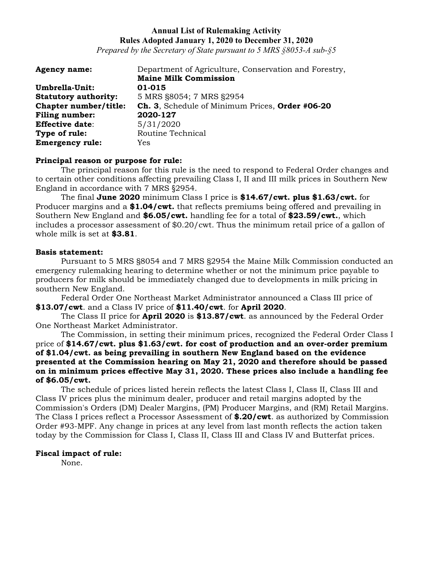*Prepared by the Secretary of State pursuant to 5 MRS §8053-A sub-§5*

| <b>Agency name:</b>         | Department of Agriculture, Conservation and Forestry, |
|-----------------------------|-------------------------------------------------------|
|                             | <b>Maine Milk Commission</b>                          |
| Umbrella-Unit:              | 01-015                                                |
| <b>Statutory authority:</b> | 5 MRS §8054; 7 MRS §2954                              |
| Chapter number/title:       | Ch. 3, Schedule of Minimum Prices, Order #06-20       |
| <b>Filing number:</b>       | 2020-127                                              |
| <b>Effective date:</b>      | 5/31/2020                                             |
| Type of rule:               | Routine Technical                                     |
| <b>Emergency rule:</b>      | Yes                                                   |

### **Principal reason or purpose for rule:**

The principal reason for this rule is the need to respond to Federal Order changes and to certain other conditions affecting prevailing Class I, II and III milk prices in Southern New England in accordance with 7 MRS §2954.

The final **June 2020** minimum Class I price is **\$14.67/cwt. plus \$1.63/cwt.** for Producer margins and a **\$1.04/cwt.** that reflects premiums being offered and prevailing in Southern New England and **\$6.05/cwt.** handling fee for a total of **\$23.59/cwt.**, which includes a processor assessment of \$0.20/cwt. Thus the minimum retail price of a gallon of whole milk is set at **\$3.81**.

### **Basis statement:**

Pursuant to 5 MRS §8054 and 7 MRS §2954 the Maine Milk Commission conducted an emergency rulemaking hearing to determine whether or not the minimum price payable to producers for milk should be immediately changed due to developments in milk pricing in southern New England.

Federal Order One Northeast Market Administrator announced a Class III price of **\$13.07/cwt**. and a Class IV price of **\$11.40/cwt**. for **April 2020**.

The Class II price for **April 2020** is **\$13.87/cwt**. as announced by the Federal Order One Northeast Market Administrator.

The Commission, in setting their minimum prices, recognized the Federal Order Class I price of **\$14.67/cwt. plus \$1.63/cwt. for cost of production and an over-order premium of \$1.04/cwt. as being prevailing in southern New England based on the evidence presented at the Commission hearing on May 21, 2020 and therefore should be passed on in minimum prices effective May 31, 2020. These prices also include a handling fee of \$6.05/cwt.**

The schedule of prices listed herein reflects the latest Class I, Class II, Class III and Class IV prices plus the minimum dealer, producer and retail margins adopted by the Commission's Orders (DM) Dealer Margins, (PM) Producer Margins, and (RM) Retail Margins. The Class I prices reflect a Processor Assessment of **\$.20/cwt**. as authorized by Commission Order #93-MPF. Any change in prices at any level from last month reflects the action taken today by the Commission for Class I, Class II, Class III and Class IV and Butterfat prices.

#### **Fiscal impact of rule:**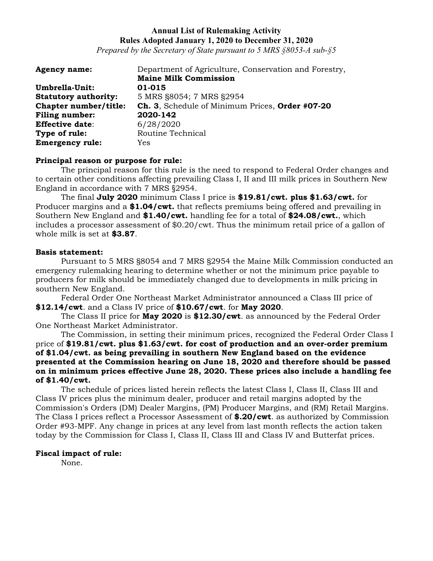*Prepared by the Secretary of State pursuant to 5 MRS §8053-A sub-§5*

| <b>Agency name:</b>         | Department of Agriculture, Conservation and Forestry, |
|-----------------------------|-------------------------------------------------------|
|                             | <b>Maine Milk Commission</b>                          |
| Umbrella-Unit:              | 01-015                                                |
| <b>Statutory authority:</b> | 5 MRS §8054; 7 MRS §2954                              |
| Chapter number/title:       | Ch. 3, Schedule of Minimum Prices, Order #07-20       |
| <b>Filing number:</b>       | 2020-142                                              |
| <b>Effective date:</b>      | 6/28/2020                                             |
| Type of rule:               | Routine Technical                                     |
| <b>Emergency rule:</b>      | Yes                                                   |

### **Principal reason or purpose for rule:**

The principal reason for this rule is the need to respond to Federal Order changes and to certain other conditions affecting prevailing Class I, II and III milk prices in Southern New England in accordance with 7 MRS §2954.

The final **July 2020** minimum Class I price is **\$19.81/cwt. plus \$1.63/cwt.** for Producer margins and a **\$1.04/cwt.** that reflects premiums being offered and prevailing in Southern New England and **\$1.40/cwt.** handling fee for a total of **\$24.08/cwt.**, which includes a processor assessment of \$0.20/cwt. Thus the minimum retail price of a gallon of whole milk is set at **\$3.87**.

### **Basis statement:**

Pursuant to 5 MRS §8054 and 7 MRS §2954 the Maine Milk Commission conducted an emergency rulemaking hearing to determine whether or not the minimum price payable to producers for milk should be immediately changed due to developments in milk pricing in southern New England.

Federal Order One Northeast Market Administrator announced a Class III price of **\$12.14/cwt**. and a Class IV price of **\$10.67/cwt**. for **May 2020**.

The Class II price for **May 2020** is **\$12.30/cwt**. as announced by the Federal Order One Northeast Market Administrator.

The Commission, in setting their minimum prices, recognized the Federal Order Class I price of **\$19.81/cwt. plus \$1.63/cwt. for cost of production and an over-order premium of \$1.04/cwt. as being prevailing in southern New England based on the evidence presented at the Commission hearing on June 18, 2020 and therefore should be passed on in minimum prices effective June 28, 2020. These prices also include a handling fee of \$1.40/cwt.**

The schedule of prices listed herein reflects the latest Class I, Class II, Class III and Class IV prices plus the minimum dealer, producer and retail margins adopted by the Commission's Orders (DM) Dealer Margins, (PM) Producer Margins, and (RM) Retail Margins. The Class I prices reflect a Processor Assessment of **\$.20/cwt**. as authorized by Commission Order #93-MPF. Any change in prices at any level from last month reflects the action taken today by the Commission for Class I, Class II, Class III and Class IV and Butterfat prices.

#### **Fiscal impact of rule:**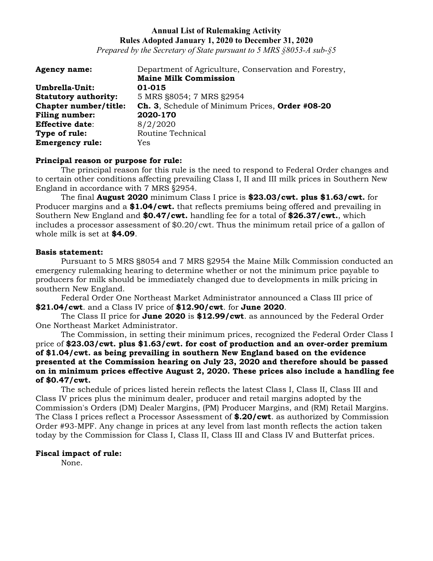*Prepared by the Secretary of State pursuant to 5 MRS §8053-A sub-§5*

| <b>Agency name:</b>         | Department of Agriculture, Conservation and Forestry, |
|-----------------------------|-------------------------------------------------------|
|                             | <b>Maine Milk Commission</b>                          |
| Umbrella-Unit:              | 01-015                                                |
| <b>Statutory authority:</b> | 5 MRS §8054; 7 MRS §2954                              |
| Chapter number/title:       | Ch. 3, Schedule of Minimum Prices, Order #08-20       |
| <b>Filing number:</b>       | 2020-170                                              |
| <b>Effective date:</b>      | 8/2/2020                                              |
| Type of rule:               | Routine Technical                                     |
| <b>Emergency rule:</b>      | Yes                                                   |

### **Principal reason or purpose for rule:**

The principal reason for this rule is the need to respond to Federal Order changes and to certain other conditions affecting prevailing Class I, II and III milk prices in Southern New England in accordance with 7 MRS §2954.

The final **August 2020** minimum Class I price is **\$23.03/cwt. plus \$1.63/cwt.** for Producer margins and a **\$1.04/cwt.** that reflects premiums being offered and prevailing in Southern New England and **\$0.47/cwt.** handling fee for a total of **\$26.37/cwt.**, which includes a processor assessment of \$0.20/cwt. Thus the minimum retail price of a gallon of whole milk is set at **\$4.09**.

### **Basis statement:**

Pursuant to 5 MRS §8054 and 7 MRS §2954 the Maine Milk Commission conducted an emergency rulemaking hearing to determine whether or not the minimum price payable to producers for milk should be immediately changed due to developments in milk pricing in southern New England.

Federal Order One Northeast Market Administrator announced a Class III price of **\$21.04/cwt**. and a Class IV price of **\$12.90/cwt**. for **June 2020**.

The Class II price for **June 2020** is **\$12.99/cwt**. as announced by the Federal Order One Northeast Market Administrator.

The Commission, in setting their minimum prices, recognized the Federal Order Class I price of **\$23.03/cwt. plus \$1.63/cwt. for cost of production and an over-order premium of \$1.04/cwt. as being prevailing in southern New England based on the evidence presented at the Commission hearing on July 23, 2020 and therefore should be passed on in minimum prices effective August 2, 2020. These prices also include a handling fee of \$0.47/cwt.**

The schedule of prices listed herein reflects the latest Class I, Class II, Class III and Class IV prices plus the minimum dealer, producer and retail margins adopted by the Commission's Orders (DM) Dealer Margins, (PM) Producer Margins, and (RM) Retail Margins. The Class I prices reflect a Processor Assessment of **\$.20/cwt**. as authorized by Commission Order #93-MPF. Any change in prices at any level from last month reflects the action taken today by the Commission for Class I, Class II, Class III and Class IV and Butterfat prices.

#### **Fiscal impact of rule:**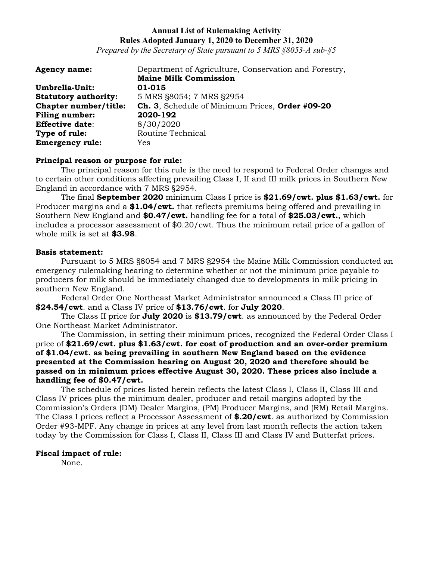*Prepared by the Secretary of State pursuant to 5 MRS §8053-A sub-§5*

| <b>Agency name:</b>         | Department of Agriculture, Conservation and Forestry, |
|-----------------------------|-------------------------------------------------------|
|                             | <b>Maine Milk Commission</b>                          |
| Umbrella-Unit:              | 01-015                                                |
| <b>Statutory authority:</b> | 5 MRS §8054; 7 MRS §2954                              |
| Chapter number/title:       | Ch. 3, Schedule of Minimum Prices, Order #09-20       |
| <b>Filing number:</b>       | 2020-192                                              |
| <b>Effective date:</b>      | 8/30/2020                                             |
| Type of rule:               | Routine Technical                                     |
| <b>Emergency rule:</b>      | Yes                                                   |

### **Principal reason or purpose for rule:**

The principal reason for this rule is the need to respond to Federal Order changes and to certain other conditions affecting prevailing Class I, II and III milk prices in Southern New England in accordance with 7 MRS §2954.

The final **September 2020** minimum Class I price is **\$21.69/cwt. plus \$1.63/cwt.** for Producer margins and a **\$1.04/cwt.** that reflects premiums being offered and prevailing in Southern New England and **\$0.47/cwt.** handling fee for a total of **\$25.03/cwt.**, which includes a processor assessment of \$0.20/cwt. Thus the minimum retail price of a gallon of whole milk is set at **\$3.98**.

### **Basis statement:**

Pursuant to 5 MRS §8054 and 7 MRS §2954 the Maine Milk Commission conducted an emergency rulemaking hearing to determine whether or not the minimum price payable to producers for milk should be immediately changed due to developments in milk pricing in southern New England.

Federal Order One Northeast Market Administrator announced a Class III price of **\$24.54/cwt**. and a Class IV price of **\$13.76/cwt**. for **July 2020**.

The Class II price for **July 2020** is **\$13.79/cwt**. as announced by the Federal Order One Northeast Market Administrator.

The Commission, in setting their minimum prices, recognized the Federal Order Class I price of **\$21.69/cwt. plus \$1.63/cwt. for cost of production and an over-order premium of \$1.04/cwt. as being prevailing in southern New England based on the evidence presented at the Commission hearing on August 20, 2020 and therefore should be passed on in minimum prices effective August 30, 2020. These prices also include a handling fee of \$0.47/cwt.**

The schedule of prices listed herein reflects the latest Class I, Class II, Class III and Class IV prices plus the minimum dealer, producer and retail margins adopted by the Commission's Orders (DM) Dealer Margins, (PM) Producer Margins, and (RM) Retail Margins. The Class I prices reflect a Processor Assessment of **\$.20/cwt**. as authorized by Commission Order #93-MPF. Any change in prices at any level from last month reflects the action taken today by the Commission for Class I, Class II, Class III and Class IV and Butterfat prices.

#### **Fiscal impact of rule:**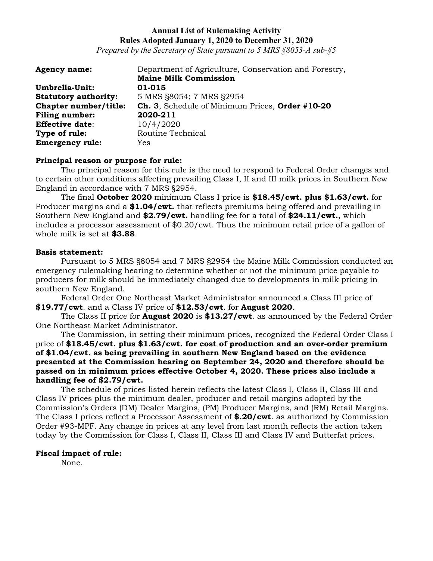*Prepared by the Secretary of State pursuant to 5 MRS §8053-A sub-§5*

| <b>Agency name:</b>         | Department of Agriculture, Conservation and Forestry, |
|-----------------------------|-------------------------------------------------------|
|                             | <b>Maine Milk Commission</b>                          |
| Umbrella-Unit:              | 01-015                                                |
| <b>Statutory authority:</b> | 5 MRS §8054; 7 MRS §2954                              |
| Chapter number/title:       | Ch. 3, Schedule of Minimum Prices, Order #10-20       |
| <b>Filing number:</b>       | 2020-211                                              |
| <b>Effective date:</b>      | 10/4/2020                                             |
| Type of rule:               | Routine Technical                                     |
| <b>Emergency rule:</b>      | Yes                                                   |

### **Principal reason or purpose for rule:**

The principal reason for this rule is the need to respond to Federal Order changes and to certain other conditions affecting prevailing Class I, II and III milk prices in Southern New England in accordance with 7 MRS §2954.

The final **October 2020** minimum Class I price is **\$18.45/cwt. plus \$1.63/cwt.** for Producer margins and a **\$1.04/cwt.** that reflects premiums being offered and prevailing in Southern New England and **\$2.79/cwt.** handling fee for a total of **\$24.11/cwt.**, which includes a processor assessment of \$0.20/cwt. Thus the minimum retail price of a gallon of whole milk is set at **\$3.88**.

### **Basis statement:**

Pursuant to 5 MRS §8054 and 7 MRS §2954 the Maine Milk Commission conducted an emergency rulemaking hearing to determine whether or not the minimum price payable to producers for milk should be immediately changed due to developments in milk pricing in southern New England.

Federal Order One Northeast Market Administrator announced a Class III price of **\$19.77/cwt**. and a Class IV price of **\$12.53/cwt**. for **August 2020**.

The Class II price for **August 2020** is **\$13.27/cwt**. as announced by the Federal Order One Northeast Market Administrator.

The Commission, in setting their minimum prices, recognized the Federal Order Class I price of **\$18.45/cwt. plus \$1.63/cwt. for cost of production and an over-order premium of \$1.04/cwt. as being prevailing in southern New England based on the evidence presented at the Commission hearing on September 24, 2020 and therefore should be passed on in minimum prices effective October 4, 2020. These prices also include a handling fee of \$2.79/cwt.**

The schedule of prices listed herein reflects the latest Class I, Class II, Class III and Class IV prices plus the minimum dealer, producer and retail margins adopted by the Commission's Orders (DM) Dealer Margins, (PM) Producer Margins, and (RM) Retail Margins. The Class I prices reflect a Processor Assessment of **\$.20/cwt**. as authorized by Commission Order #93-MPF. Any change in prices at any level from last month reflects the action taken today by the Commission for Class I, Class II, Class III and Class IV and Butterfat prices.

### **Fiscal impact of rule:**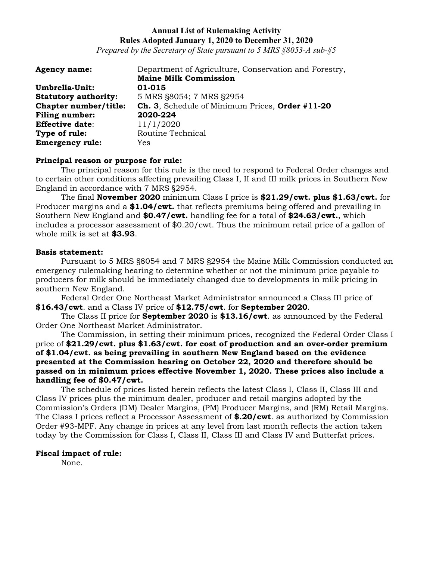*Prepared by the Secretary of State pursuant to 5 MRS §8053-A sub-§5*

| <b>Agency name:</b>         | Department of Agriculture, Conservation and Forestry, |
|-----------------------------|-------------------------------------------------------|
|                             | <b>Maine Milk Commission</b>                          |
| Umbrella-Unit:              | 01-015                                                |
| <b>Statutory authority:</b> | 5 MRS §8054; 7 MRS §2954                              |
| Chapter number/title:       | Ch. 3, Schedule of Minimum Prices, Order #11-20       |
| <b>Filing number:</b>       | 2020-224                                              |
| <b>Effective date:</b>      | 11/1/2020                                             |
| Type of rule:               | Routine Technical                                     |
| <b>Emergency rule:</b>      | Yes                                                   |

### **Principal reason or purpose for rule:**

The principal reason for this rule is the need to respond to Federal Order changes and to certain other conditions affecting prevailing Class I, II and III milk prices in Southern New England in accordance with 7 MRS §2954.

The final **November 2020** minimum Class I price is **\$21.29/cwt. plus \$1.63/cwt.** for Producer margins and a **\$1.04/cwt.** that reflects premiums being offered and prevailing in Southern New England and **\$0.47/cwt.** handling fee for a total of **\$24.63/cwt.**, which includes a processor assessment of \$0.20/cwt. Thus the minimum retail price of a gallon of whole milk is set at **\$3.93**.

### **Basis statement:**

Pursuant to 5 MRS §8054 and 7 MRS §2954 the Maine Milk Commission conducted an emergency rulemaking hearing to determine whether or not the minimum price payable to producers for milk should be immediately changed due to developments in milk pricing in southern New England.

Federal Order One Northeast Market Administrator announced a Class III price of **\$16.43/cwt**. and a Class IV price of **\$12.75/cwt**. for **September 2020**.

The Class II price for **September 2020** is **\$13.16/cwt**. as announced by the Federal Order One Northeast Market Administrator.

The Commission, in setting their minimum prices, recognized the Federal Order Class I price of **\$21.29/cwt. plus \$1.63/cwt. for cost of production and an over-order premium of \$1.04/cwt. as being prevailing in southern New England based on the evidence presented at the Commission hearing on October 22, 2020 and therefore should be passed on in minimum prices effective November 1, 2020. These prices also include a handling fee of \$0.47/cwt.**

The schedule of prices listed herein reflects the latest Class I, Class II, Class III and Class IV prices plus the minimum dealer, producer and retail margins adopted by the Commission's Orders (DM) Dealer Margins, (PM) Producer Margins, and (RM) Retail Margins. The Class I prices reflect a Processor Assessment of **\$.20/cwt**. as authorized by Commission Order #93-MPF. Any change in prices at any level from last month reflects the action taken today by the Commission for Class I, Class II, Class III and Class IV and Butterfat prices.

### **Fiscal impact of rule:**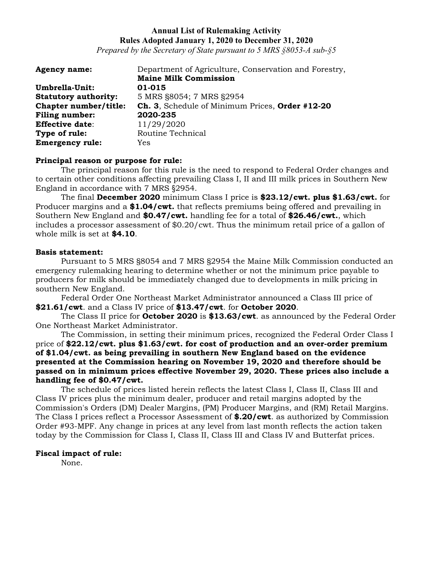*Prepared by the Secretary of State pursuant to 5 MRS §8053-A sub-§5*

| <b>Agency name:</b>         | Department of Agriculture, Conservation and Forestry, |
|-----------------------------|-------------------------------------------------------|
|                             | <b>Maine Milk Commission</b>                          |
| Umbrella-Unit:              | 01-015                                                |
| <b>Statutory authority:</b> | 5 MRS §8054; 7 MRS §2954                              |
| Chapter number/title:       | Ch. 3, Schedule of Minimum Prices, Order #12-20       |
| <b>Filing number:</b>       | 2020-235                                              |
| <b>Effective date:</b>      | 11/29/2020                                            |
| Type of rule:               | Routine Technical                                     |
| <b>Emergency rule:</b>      | Yes                                                   |

### **Principal reason or purpose for rule:**

The principal reason for this rule is the need to respond to Federal Order changes and to certain other conditions affecting prevailing Class I, II and III milk prices in Southern New England in accordance with 7 MRS §2954.

The final **December 2020** minimum Class I price is **\$23.12/cwt. plus \$1.63/cwt.** for Producer margins and a **\$1.04/cwt.** that reflects premiums being offered and prevailing in Southern New England and **\$0.47/cwt.** handling fee for a total of **\$26.46/cwt.**, which includes a processor assessment of \$0.20/cwt. Thus the minimum retail price of a gallon of whole milk is set at **\$4.10**.

### **Basis statement:**

Pursuant to 5 MRS §8054 and 7 MRS §2954 the Maine Milk Commission conducted an emergency rulemaking hearing to determine whether or not the minimum price payable to producers for milk should be immediately changed due to developments in milk pricing in southern New England.

Federal Order One Northeast Market Administrator announced a Class III price of **\$21.61/cwt**. and a Class IV price of **\$13.47/cwt**. for **October 2020**.

The Class II price for **October 2020** is **\$13.63/cwt**. as announced by the Federal Order One Northeast Market Administrator.

The Commission, in setting their minimum prices, recognized the Federal Order Class I price of **\$22.12/cwt. plus \$1.63/cwt. for cost of production and an over-order premium of \$1.04/cwt. as being prevailing in southern New England based on the evidence presented at the Commission hearing on November 19, 2020 and therefore should be passed on in minimum prices effective November 29, 2020. These prices also include a handling fee of \$0.47/cwt.**

The schedule of prices listed herein reflects the latest Class I, Class II, Class III and Class IV prices plus the minimum dealer, producer and retail margins adopted by the Commission's Orders (DM) Dealer Margins, (PM) Producer Margins, and (RM) Retail Margins. The Class I prices reflect a Processor Assessment of **\$.20/cwt**. as authorized by Commission Order #93-MPF. Any change in prices at any level from last month reflects the action taken today by the Commission for Class I, Class II, Class III and Class IV and Butterfat prices.

#### **Fiscal impact of rule:**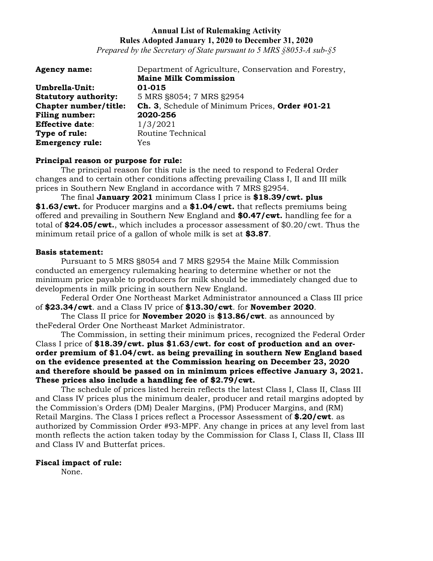*Prepared by the Secretary of State pursuant to 5 MRS §8053-A sub-§5*

| <b>Agency name:</b>         | Department of Agriculture, Conservation and Forestry, |
|-----------------------------|-------------------------------------------------------|
|                             | <b>Maine Milk Commission</b>                          |
| Umbrella-Unit:              | 01-015                                                |
| <b>Statutory authority:</b> | 5 MRS §8054; 7 MRS §2954                              |
| Chapter number/title:       | Ch. 3, Schedule of Minimum Prices, Order #01-21       |
| <b>Filing number:</b>       | 2020-256                                              |
| <b>Effective date:</b>      | 1/3/2021                                              |
| Type of rule:               | Routine Technical                                     |
| <b>Emergency rule:</b>      | Yes                                                   |

### **Principal reason or purpose for rule:**

The principal reason for this rule is the need to respond to Federal Order changes and to certain other conditions affecting prevailing Class I, II and III milk prices in Southern New England in accordance with 7 MRS §2954.

The final **January 2021** minimum Class I price is **\$18.39/cwt. plus \$1.63/cwt.** for Producer margins and a **\$1.04/cwt.** that reflects premiums being offered and prevailing in Southern New England and **\$0.47/cwt.** handling fee for a total of **\$24.05/cwt.**, which includes a processor assessment of \$0.20/cwt. Thus the minimum retail price of a gallon of whole milk is set at **\$3.87**.

#### **Basis statement:**

Pursuant to 5 MRS §8054 and 7 MRS §2954 the Maine Milk Commission conducted an emergency rulemaking hearing to determine whether or not the minimum price payable to producers for milk should be immediately changed due to developments in milk pricing in southern New England.

Federal Order One Northeast Market Administrator announced a Class III price of **\$23.34/cwt**. and a Class IV price of **\$13.30/cwt**. for **November 2020**.

The Class II price for **November 2020** is **\$13.86/cwt**. as announced by theFederal Order One Northeast Market Administrator.

The Commission, in setting their minimum prices, recognized the Federal Order Class I price of **\$18.39/cwt. plus \$1.63/cwt. for cost of production and an overorder premium of \$1.04/cwt. as being prevailing in southern New England based on the evidence presented at the Commission hearing on December 23, 2020 and therefore should be passed on in minimum prices effective January 3, 2021. These prices also include a handling fee of \$2.79/cwt.**

The schedule of prices listed herein reflects the latest Class I, Class II, Class III and Class IV prices plus the minimum dealer, producer and retail margins adopted by the Commission's Orders (DM) Dealer Margins, (PM) Producer Margins, and (RM) Retail Margins. The Class I prices reflect a Processor Assessment of **\$.20/cwt**. as authorized by Commission Order #93-MPF. Any change in prices at any level from last month reflects the action taken today by the Commission for Class I, Class II, Class III and Class IV and Butterfat prices.

### **Fiscal impact of rule:**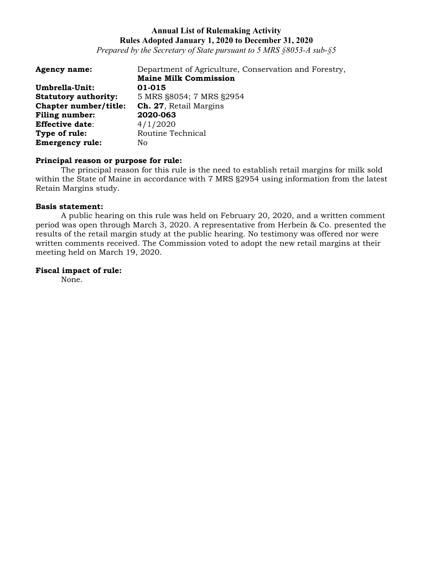*Prepared by the Secretary of State pursuant to 5 MRS §8053-A sub-§5*

| <b>Agency name:</b>         | Department of Agriculture, Conservation and Forestry, |
|-----------------------------|-------------------------------------------------------|
|                             | <b>Maine Milk Commission</b>                          |
| Umbrella-Unit:              | 01-015                                                |
| <b>Statutory authority:</b> | 5 MRS §8054; 7 MRS §2954                              |
| Chapter number/title:       | Ch. 27, Retail Margins                                |
| Filing number:              | 2020-063                                              |
| <b>Effective date:</b>      | 4/1/2020                                              |
| Type of rule:               | Routine Technical                                     |
| <b>Emergency rule:</b>      | No                                                    |

### **Principal reason or purpose for rule:**

The principal reason for this rule is the need to establish retail margins for milk sold within the State of Maine in accordance with 7 MRS §2954 using information from the latest Retain Margins study.

### **Basis statement:**

A public hearing on this rule was held on February 20, 2020, and a written comment period was open through March 3, 2020. A representative from Herbein & Co. presented the results of the retail margin study at the public hearing. No testimony was offered nor were written comments received. The Commission voted to adopt the new retail margins at their meeting held on March 19, 2020.

# **Fiscal impact of rule:**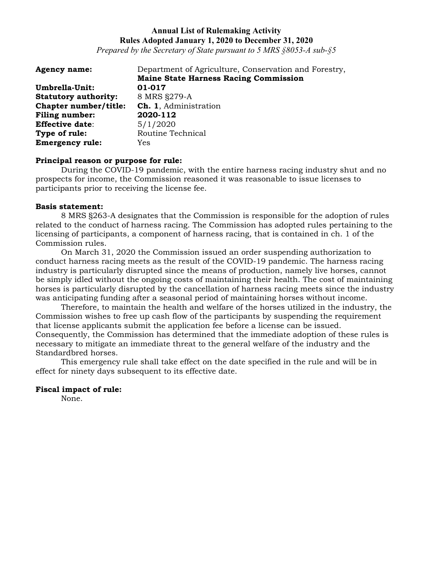*Prepared by the Secretary of State pursuant to 5 MRS §8053-A sub-§5*

| <b>Agency name:</b>         | Department of Agriculture, Conservation and Forestry, |
|-----------------------------|-------------------------------------------------------|
|                             | <b>Maine State Harness Racing Commission</b>          |
| Umbrella-Unit:              | 01-017                                                |
| <b>Statutory authority:</b> | 8 MRS §279-A                                          |
| Chapter number/title:       | Ch. 1, Administration                                 |
| <b>Filing number:</b>       | 2020-112                                              |
| <b>Effective date:</b>      | 5/1/2020                                              |
| Type of rule:               | Routine Technical                                     |
| <b>Emergency rule:</b>      | Yes                                                   |

### **Principal reason or purpose for rule:**

During the COVID-19 pandemic, with the entire harness racing industry shut and no prospects for income, the Commission reasoned it was reasonable to issue licenses to participants prior to receiving the license fee.

#### **Basis statement:**

8 MRS §263-A designates that the Commission is responsible for the adoption of rules related to the conduct of harness racing. The Commission has adopted rules pertaining to the licensing of participants, a component of harness racing, that is contained in ch. 1 of the Commission rules.

On March 31, 2020 the Commission issued an order suspending authorization to conduct harness racing meets as the result of the COVID-19 pandemic. The harness racing industry is particularly disrupted since the means of production, namely live horses, cannot be simply idled without the ongoing costs of maintaining their health. The cost of maintaining horses is particularly disrupted by the cancellation of harness racing meets since the industry was anticipating funding after a seasonal period of maintaining horses without income.

Therefore, to maintain the health and welfare of the horses utilized in the industry, the Commission wishes to free up cash flow of the participants by suspending the requirement that license applicants submit the application fee before a license can be issued. Consequently, the Commission has determined that the immediate adoption of these rules is necessary to mitigate an immediate threat to the general welfare of the industry and the Standardbred horses.

This emergency rule shall take effect on the date specified in the rule and will be in effect for ninety days subsequent to its effective date.

### **Fiscal impact of rule:**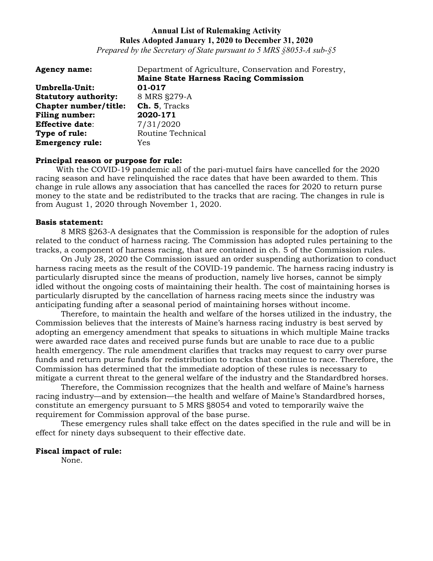*Prepared by the Secretary of State pursuant to 5 MRS §8053-A sub-§5*

| <b>Agency name:</b>         | Department of Agriculture, Conservation and Forestry, |
|-----------------------------|-------------------------------------------------------|
|                             | <b>Maine State Harness Racing Commission</b>          |
| Umbrella-Unit:              | 01-017                                                |
| <b>Statutory authority:</b> | 8 MRS §279-A                                          |
| Chapter number/title:       | Ch. 5, Tracks                                         |
| <b>Filing number:</b>       | 2020-171                                              |
| <b>Effective date:</b>      | 7/31/2020                                             |
| Type of rule:               | Routine Technical                                     |
| <b>Emergency rule:</b>      | Yes                                                   |

### **Principal reason or purpose for rule:**

With the COVID-19 pandemic all of the pari-mutuel fairs have cancelled for the 2020 racing season and have relinquished the race dates that have been awarded to them. This change in rule allows any association that has cancelled the races for 2020 to return purse money to the state and be redistributed to the tracks that are racing. The changes in rule is from August 1, 2020 through November 1, 2020.

#### **Basis statement:**

8 MRS §263-A designates that the Commission is responsible for the adoption of rules related to the conduct of harness racing. The Commission has adopted rules pertaining to the tracks, a component of harness racing, that are contained in ch. 5 of the Commission rules.

On July 28, 2020 the Commission issued an order suspending authorization to conduct harness racing meets as the result of the COVID-19 pandemic. The harness racing industry is particularly disrupted since the means of production, namely live horses, cannot be simply idled without the ongoing costs of maintaining their health. The cost of maintaining horses is particularly disrupted by the cancellation of harness racing meets since the industry was anticipating funding after a seasonal period of maintaining horses without income.

Therefore, to maintain the health and welfare of the horses utilized in the industry, the Commission believes that the interests of Maine's harness racing industry is best served by adopting an emergency amendment that speaks to situations in which multiple Maine tracks were awarded race dates and received purse funds but are unable to race due to a public health emergency. The rule amendment clarifies that tracks may request to carry over purse funds and return purse funds for redistribution to tracks that continue to race. Therefore, the Commission has determined that the immediate adoption of these rules is necessary to mitigate a current threat to the general welfare of the industry and the Standardbred horses.

Therefore, the Commission recognizes that the health and welfare of Maine's harness racing industry—and by extension—the health and welfare of Maine's Standardbred horses, constitute an emergency pursuant to 5 MRS §8054 and voted to temporarily waive the requirement for Commission approval of the base purse.

These emergency rules shall take effect on the dates specified in the rule and will be in effect for ninety days subsequent to their effective date.

#### **Fiscal impact of rule:**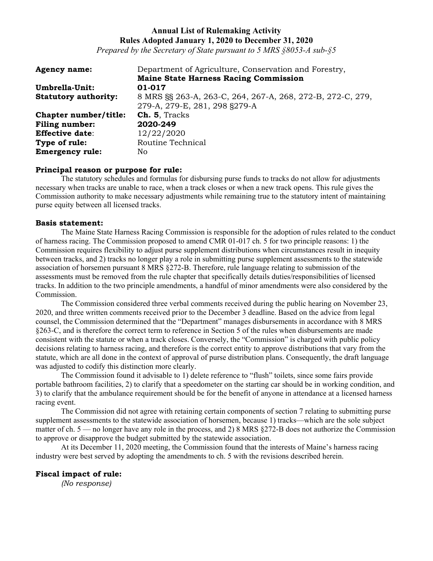*Prepared by the Secretary of State pursuant to 5 MRS §8053-A sub-§5*

| <b>Agency name:</b>         | Department of Agriculture, Conservation and Forestry,      |
|-----------------------------|------------------------------------------------------------|
|                             | <b>Maine State Harness Racing Commission</b>               |
| Umbrella-Unit:              | 01-017                                                     |
| <b>Statutory authority:</b> | 8 MRS §§ 263-A, 263-C, 264, 267-A, 268, 272-B, 272-C, 279, |
|                             | 279-A, 279-E, 281, 298 §279-A                              |
| Chapter number/title:       | Ch. 5, Tracks                                              |
| <b>Filing number:</b>       | 2020-249                                                   |
| <b>Effective date:</b>      | 12/22/2020                                                 |
| Type of rule:               | Routine Technical                                          |
| <b>Emergency rule:</b>      | No                                                         |

#### **Principal reason or purpose for rule:**

The statutory schedules and formulas for disbursing purse funds to tracks do not allow for adjustments necessary when tracks are unable to race, when a track closes or when a new track opens. This rule gives the Commission authority to make necessary adjustments while remaining true to the statutory intent of maintaining purse equity between all licensed tracks.

#### **Basis statement:**

The Maine State Harness Racing Commission is responsible for the adoption of rules related to the conduct of harness racing. The Commission proposed to amend CMR 01-017 ch. 5 for two principle reasons: 1) the Commission requires flexibility to adjust purse supplement distributions when circumstances result in inequity between tracks, and 2) tracks no longer play a role in submitting purse supplement assessments to the statewide association of horsemen pursuant 8 MRS §272-B. Therefore, rule language relating to submission of the assessments must be removed from the rule chapter that specifically details duties/responsibilities of licensed tracks. In addition to the two principle amendments, a handful of minor amendments were also considered by the Commission.

The Commission considered three verbal comments received during the public hearing on November 23, 2020, and three written comments received prior to the December 3 deadline. Based on the advice from legal counsel, the Commission determined that the "Department" manages disbursements in accordance with 8 MRS §263-C, and is therefore the correct term to reference in Section 5 of the rules when disbursements are made consistent with the statute or when a track closes. Conversely, the "Commission" is charged with public policy decisions relating to harness racing, and therefore is the correct entity to approve distributions that vary from the statute, which are all done in the context of approval of purse distribution plans. Consequently, the draft language was adjusted to codify this distinction more clearly.

The Commission found it advisable to 1) delete reference to "flush" toilets, since some fairs provide portable bathroom facilities, 2) to clarify that a speedometer on the starting car should be in working condition, and 3) to clarify that the ambulance requirement should be for the benefit of anyone in attendance at a licensed harness racing event.

The Commission did not agree with retaining certain components of section 7 relating to submitting purse supplement assessments to the statewide association of horsemen, because 1) tracks—which are the sole subject matter of ch. 5 — no longer have any role in the process, and 2) 8 MRS §272-B does not authorize the Commission to approve or disapprove the budget submitted by the statewide association.

At its December 11, 2020 meeting, the Commission found that the interests of Maine's harness racing industry were best served by adopting the amendments to ch. 5 with the revisions described herein.

### **Fiscal impact of rule:**

*(No response)*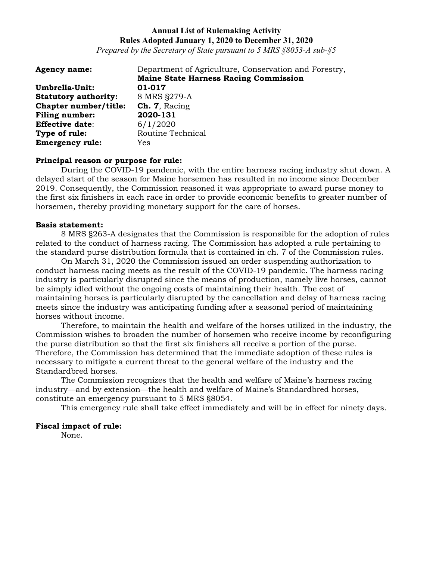*Prepared by the Secretary of State pursuant to 5 MRS §8053-A sub-§5*

| <b>Agency name:</b>         | Department of Agriculture, Conservation and Forestry, |
|-----------------------------|-------------------------------------------------------|
|                             | <b>Maine State Harness Racing Commission</b>          |
| Umbrella-Unit:              | 01-017                                                |
| <b>Statutory authority:</b> | 8 MRS §279-A                                          |
| Chapter number/title:       | Ch. 7, Racing                                         |
| Filing number:              | 2020-131                                              |
| <b>Effective date:</b>      | 6/1/2020                                              |
| Type of rule:               | Routine Technical                                     |
| <b>Emergency rule:</b>      | Yes                                                   |

### **Principal reason or purpose for rule:**

During the COVID-19 pandemic, with the entire harness racing industry shut down. A delayed start of the season for Maine horsemen has resulted in no income since December 2019. Consequently, the Commission reasoned it was appropriate to award purse money to the first six finishers in each race in order to provide economic benefits to greater number of horsemen, thereby providing monetary support for the care of horses.

#### **Basis statement:**

8 MRS §263-A designates that the Commission is responsible for the adoption of rules related to the conduct of harness racing. The Commission has adopted a rule pertaining to the standard purse distribution formula that is contained in ch. 7 of the Commission rules.

On March 31, 2020 the Commission issued an order suspending authorization to conduct harness racing meets as the result of the COVID-19 pandemic. The harness racing industry is particularly disrupted since the means of production, namely live horses, cannot be simply idled without the ongoing costs of maintaining their health. The cost of maintaining horses is particularly disrupted by the cancellation and delay of harness racing meets since the industry was anticipating funding after a seasonal period of maintaining horses without income.

Therefore, to maintain the health and welfare of the horses utilized in the industry, the Commission wishes to broaden the number of horsemen who receive income by reconfiguring the purse distribution so that the first six finishers all receive a portion of the purse. Therefore, the Commission has determined that the immediate adoption of these rules is necessary to mitigate a current threat to the general welfare of the industry and the Standardbred horses.

The Commission recognizes that the health and welfare of Maine's harness racing industry—and by extension—the health and welfare of Maine's Standardbred horses, constitute an emergency pursuant to 5 MRS §8054.

This emergency rule shall take effect immediately and will be in effect for ninety days.

### **Fiscal impact of rule:**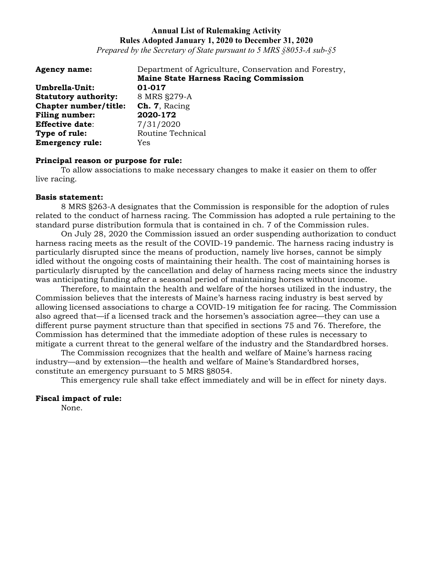*Prepared by the Secretary of State pursuant to 5 MRS §8053-A sub-§5*

| <b>Agency name:</b>         | Department of Agriculture, Conservation and Forestry, |
|-----------------------------|-------------------------------------------------------|
|                             | <b>Maine State Harness Racing Commission</b>          |
| Umbrella-Unit:              | 01-017                                                |
| <b>Statutory authority:</b> | 8 MRS §279-A                                          |
| Chapter number/title:       | Ch. 7, Racing                                         |
| Filing number:              | 2020-172                                              |
| <b>Effective date:</b>      | 7/31/2020                                             |
| Type of rule:               | Routine Technical                                     |
| <b>Emergency rule:</b>      | Yes                                                   |

#### **Principal reason or purpose for rule:**

To allow associations to make necessary changes to make it easier on them to offer live racing.

#### **Basis statement:**

8 MRS §263-A designates that the Commission is responsible for the adoption of rules related to the conduct of harness racing. The Commission has adopted a rule pertaining to the standard purse distribution formula that is contained in ch. 7 of the Commission rules.

On July 28, 2020 the Commission issued an order suspending authorization to conduct harness racing meets as the result of the COVID-19 pandemic. The harness racing industry is particularly disrupted since the means of production, namely live horses, cannot be simply idled without the ongoing costs of maintaining their health. The cost of maintaining horses is particularly disrupted by the cancellation and delay of harness racing meets since the industry was anticipating funding after a seasonal period of maintaining horses without income.

Therefore, to maintain the health and welfare of the horses utilized in the industry, the Commission believes that the interests of Maine's harness racing industry is best served by allowing licensed associations to charge a COVID-19 mitigation fee for racing. The Commission also agreed that—if a licensed track and the horsemen's association agree—they can use a different purse payment structure than that specified in sections 75 and 76. Therefore, the Commission has determined that the immediate adoption of these rules is necessary to mitigate a current threat to the general welfare of the industry and the Standardbred horses.

The Commission recognizes that the health and welfare of Maine's harness racing industry—and by extension—the health and welfare of Maine's Standardbred horses, constitute an emergency pursuant to 5 MRS §8054.

This emergency rule shall take effect immediately and will be in effect for ninety days.

#### **Fiscal impact of rule:**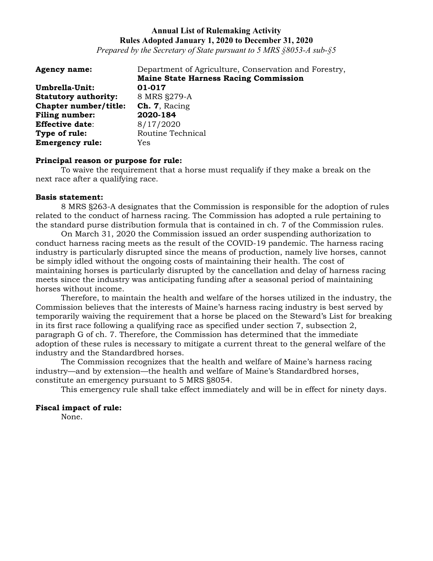*Prepared by the Secretary of State pursuant to 5 MRS §8053-A sub-§5*

| <b>Agency name:</b>         | Department of Agriculture, Conservation and Forestry, |
|-----------------------------|-------------------------------------------------------|
|                             | <b>Maine State Harness Racing Commission</b>          |
| Umbrella-Unit:              | 01-017                                                |
| <b>Statutory authority:</b> | 8 MRS §279-A                                          |
| Chapter number/title:       | Ch. 7, Racing                                         |
| Filing number:              | 2020-184                                              |
| <b>Effective date:</b>      | 8/17/2020                                             |
| Type of rule:               | Routine Technical                                     |
| <b>Emergency rule:</b>      | Yes                                                   |

#### **Principal reason or purpose for rule:**

To waive the requirement that a horse must requalify if they make a break on the next race after a qualifying race.

#### **Basis statement:**

8 MRS §263-A designates that the Commission is responsible for the adoption of rules related to the conduct of harness racing. The Commission has adopted a rule pertaining to the standard purse distribution formula that is contained in ch. 7 of the Commission rules.

On March 31, 2020 the Commission issued an order suspending authorization to conduct harness racing meets as the result of the COVID-19 pandemic. The harness racing industry is particularly disrupted since the means of production, namely live horses, cannot be simply idled without the ongoing costs of maintaining their health. The cost of maintaining horses is particularly disrupted by the cancellation and delay of harness racing meets since the industry was anticipating funding after a seasonal period of maintaining horses without income.

Therefore, to maintain the health and welfare of the horses utilized in the industry, the Commission believes that the interests of Maine's harness racing industry is best served by temporarily waiving the requirement that a horse be placed on the Steward's List for breaking in its first race following a qualifying race as specified under section 7, subsection 2, paragraph G of ch. 7. Therefore, the Commission has determined that the immediate adoption of these rules is necessary to mitigate a current threat to the general welfare of the industry and the Standardbred horses.

The Commission recognizes that the health and welfare of Maine's harness racing industry—and by extension—the health and welfare of Maine's Standardbred horses, constitute an emergency pursuant to 5 MRS §8054.

This emergency rule shall take effect immediately and will be in effect for ninety days.

### **Fiscal impact of rule:**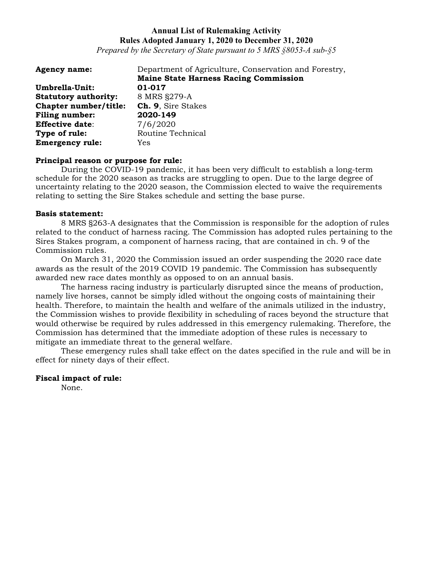*Prepared by the Secretary of State pursuant to 5 MRS §8053-A sub-§5*

| <b>Agency name:</b>         | Department of Agriculture, Conservation and Forestry, |
|-----------------------------|-------------------------------------------------------|
|                             | <b>Maine State Harness Racing Commission</b>          |
| Umbrella-Unit:              | 01-017                                                |
| <b>Statutory authority:</b> | 8 MRS §279-A                                          |
| Chapter number/title:       | Ch. 9, Sire Stakes                                    |
| <b>Filing number:</b>       | 2020-149                                              |
| <b>Effective date:</b>      | 7/6/2020                                              |
| Type of rule:               | Routine Technical                                     |
| <b>Emergency rule:</b>      | Yes                                                   |

### **Principal reason or purpose for rule:**

During the COVID-19 pandemic, it has been very difficult to establish a long-term schedule for the 2020 season as tracks are struggling to open. Due to the large degree of uncertainty relating to the 2020 season, the Commission elected to waive the requirements relating to setting the Sire Stakes schedule and setting the base purse.

#### **Basis statement:**

8 MRS §263-A designates that the Commission is responsible for the adoption of rules related to the conduct of harness racing. The Commission has adopted rules pertaining to the Sires Stakes program, a component of harness racing, that are contained in ch. 9 of the Commission rules.

On March 31, 2020 the Commission issued an order suspending the 2020 race date awards as the result of the 2019 COVID 19 pandemic. The Commission has subsequently awarded new race dates monthly as opposed to on an annual basis.

The harness racing industry is particularly disrupted since the means of production, namely live horses, cannot be simply idled without the ongoing costs of maintaining their health. Therefore, to maintain the health and welfare of the animals utilized in the industry, the Commission wishes to provide flexibility in scheduling of races beyond the structure that would otherwise be required by rules addressed in this emergency rulemaking. Therefore, the Commission has determined that the immediate adoption of these rules is necessary to mitigate an immediate threat to the general welfare.

These emergency rules shall take effect on the dates specified in the rule and will be in effect for ninety days of their effect.

### **Fiscal impact of rule:**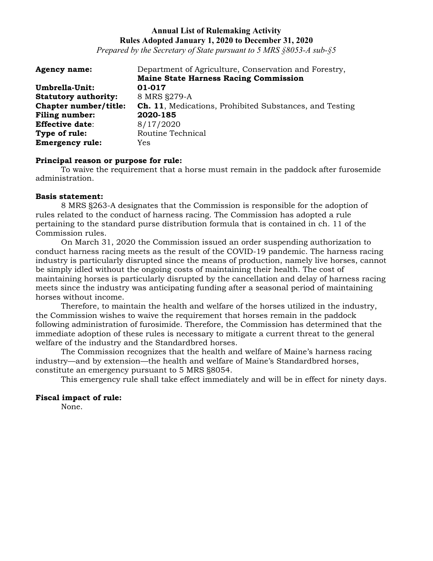*Prepared by the Secretary of State pursuant to 5 MRS §8053-A sub-§5*

| <b>Agency name:</b>         | Department of Agriculture, Conservation and Forestry,           |
|-----------------------------|-----------------------------------------------------------------|
|                             | <b>Maine State Harness Racing Commission</b>                    |
| Umbrella-Unit:              | 01-017                                                          |
| <b>Statutory authority:</b> | 8 MRS §279-A                                                    |
| Chapter number/title:       | <b>Ch. 11</b> , Medications, Prohibited Substances, and Testing |
| <b>Filing number:</b>       | 2020-185                                                        |
| <b>Effective date:</b>      | 8/17/2020                                                       |
| Type of rule:               | Routine Technical                                               |
| <b>Emergency rule:</b>      | Yes.                                                            |

#### **Principal reason or purpose for rule:**

To waive the requirement that a horse must remain in the paddock after furosemide administration.

#### **Basis statement:**

8 MRS §263-A designates that the Commission is responsible for the adoption of rules related to the conduct of harness racing. The Commission has adopted a rule pertaining to the standard purse distribution formula that is contained in ch. 11 of the Commission rules.

On March 31, 2020 the Commission issued an order suspending authorization to conduct harness racing meets as the result of the COVID-19 pandemic. The harness racing industry is particularly disrupted since the means of production, namely live horses, cannot be simply idled without the ongoing costs of maintaining their health. The cost of maintaining horses is particularly disrupted by the cancellation and delay of harness racing meets since the industry was anticipating funding after a seasonal period of maintaining horses without income.

Therefore, to maintain the health and welfare of the horses utilized in the industry, the Commission wishes to waive the requirement that horses remain in the paddock following administration of furosimide. Therefore, the Commission has determined that the immediate adoption of these rules is necessary to mitigate a current threat to the general welfare of the industry and the Standardbred horses.

The Commission recognizes that the health and welfare of Maine's harness racing industry—and by extension—the health and welfare of Maine's Standardbred horses, constitute an emergency pursuant to 5 MRS §8054.

This emergency rule shall take effect immediately and will be in effect for ninety days.

# **Fiscal impact of rule:**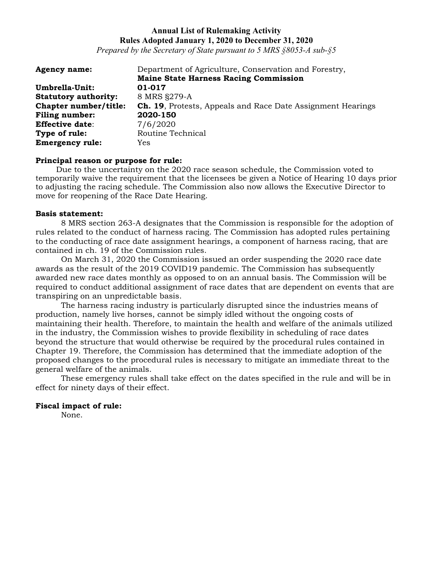*Prepared by the Secretary of State pursuant to 5 MRS §8053-A sub-§5*

| <b>Agency name:</b>         | Department of Agriculture, Conservation and Forestry,              |
|-----------------------------|--------------------------------------------------------------------|
|                             | <b>Maine State Harness Racing Commission</b>                       |
| Umbrella-Unit:              | 01-017                                                             |
| <b>Statutory authority:</b> | 8 MRS §279-A                                                       |
| Chapter number/title:       | <b>Ch. 19.</b> Protests, Appeals and Race Date Assignment Hearings |
| Filing number:              | 2020-150                                                           |
| <b>Effective date:</b>      | 7/6/2020                                                           |
| Type of rule:               | Routine Technical                                                  |
| <b>Emergency rule:</b>      | Yes                                                                |

# **Principal reason or purpose for rule:**

Due to the uncertainty on the 2020 race season schedule, the Commission voted to temporarily waive the requirement that the licensees be given a Notice of Hearing 10 days prior to adjusting the racing schedule. The Commission also now allows the Executive Director to move for reopening of the Race Date Hearing.

#### **Basis statement:**

8 MRS section 263-A designates that the Commission is responsible for the adoption of rules related to the conduct of harness racing. The Commission has adopted rules pertaining to the conducting of race date assignment hearings, a component of harness racing, that are contained in ch. 19 of the Commission rules.

On March 31, 2020 the Commission issued an order suspending the 2020 race date awards as the result of the 2019 COVID19 pandemic. The Commission has subsequently awarded new race dates monthly as opposed to on an annual basis. The Commission will be required to conduct additional assignment of race dates that are dependent on events that are transpiring on an unpredictable basis.

The harness racing industry is particularly disrupted since the industries means of production, namely live horses, cannot be simply idled without the ongoing costs of maintaining their health. Therefore, to maintain the health and welfare of the animals utilized in the industry, the Commission wishes to provide flexibility in scheduling of race dates beyond the structure that would otherwise be required by the procedural rules contained in Chapter 19. Therefore, the Commission has determined that the immediate adoption of the proposed changes to the procedural rules is necessary to mitigate an immediate threat to the general welfare of the animals.

These emergency rules shall take effect on the dates specified in the rule and will be in effect for ninety days of their effect.

### **Fiscal impact of rule:**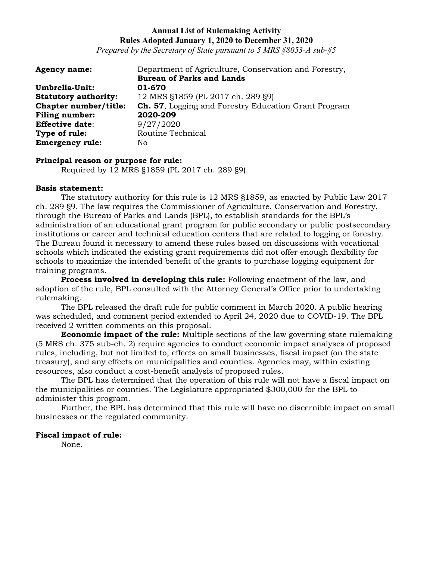*Prepared by the Secretary of State pursuant to 5 MRS §8053-A sub-§5*

| <b>Agency name:</b>         | Department of Agriculture, Conservation and Forestry, |
|-----------------------------|-------------------------------------------------------|
|                             | <b>Bureau of Parks and Lands</b>                      |
| Umbrella-Unit:              | 01-670                                                |
| <b>Statutory authority:</b> | 12 MRS §1859 (PL 2017 ch. 289 §9)                     |
| Chapter number/title:       | Ch. 57, Logging and Forestry Education Grant Program  |
| <b>Filing number:</b>       | 2020-209                                              |
| <b>Effective date:</b>      | 9/27/2020                                             |
| Type of rule:               | Routine Technical                                     |
| <b>Emergency rule:</b>      | No.                                                   |

### **Principal reason or purpose for rule:**

Required by 12 MRS §1859 (PL 2017 ch. 289 §9).

#### **Basis statement:**

The statutory authority for this rule is 12 MRS §1859, as enacted by Public Law 2017 ch. 289 §9. The law requires the Commissioner of Agriculture, Conservation and Forestry, through the Bureau of Parks and Lands (BPL), to establish standards for the BPL's administration of an educational grant program for public secondary or public postsecondary institutions or career and technical education centers that are related to logging or forestry. The Bureau found it necessary to amend these rules based on discussions with vocational schools which indicated the existing grant requirements did not offer enough flexibility for schools to maximize the intended benefit of the grants to purchase logging equipment for training programs.

**Process involved in developing this rule:** Following enactment of the law, and adoption of the rule, BPL consulted with the Attorney General's Office prior to undertaking rulemaking.

The BPL released the draft rule for public comment in March 2020. A public hearing was scheduled, and comment period extended to April 24, 2020 due to COVID-19. The BPL received 2 written comments on this proposal.

**Economic impact of the rule:** Multiple sections of the law governing state rulemaking (5 MRS ch. 375 sub-ch. 2) require agencies to conduct economic impact analyses of proposed rules, including, but not limited to, effects on small businesses, fiscal impact (on the state treasury), and any effects on municipalities and counties. Agencies may, within existing resources, also conduct a cost-benefit analysis of proposed rules.

The BPL has determined that the operation of this rule will not have a fiscal impact on the municipalities or counties. The Legislature appropriated \$300,000 for the BPL to administer this program.

Further, the BPL has determined that this rule will have no discernible impact on small businesses or the regulated community.

### **Fiscal impact of rule:**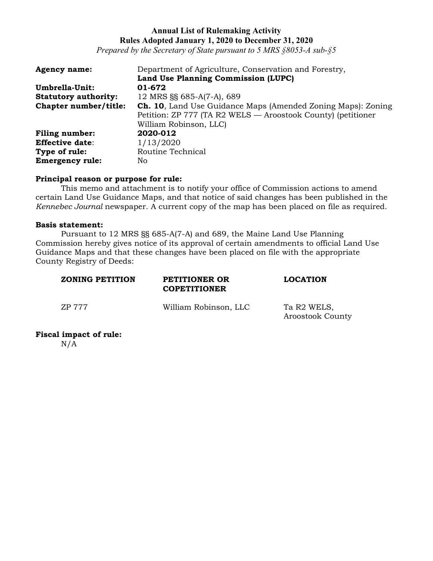*Prepared by the Secretary of State pursuant to 5 MRS §8053-A sub-§5*

| <b>Agency name:</b>         | Department of Agriculture, Conservation and Forestry,               |
|-----------------------------|---------------------------------------------------------------------|
|                             | Land Use Planning Commission (LUPC)                                 |
| Umbrella-Unit:              | 01-672                                                              |
| <b>Statutory authority:</b> | 12 MRS §§ 685-A(7-A), 689                                           |
| Chapter number/title:       | <b>Ch. 10, Land Use Guidance Maps (Amended Zoning Maps): Zoning</b> |
|                             | Petition: ZP 777 (TA R2 WELS — Aroostook County) (petitioner        |
|                             | William Robinson, LLC)                                              |
| <b>Filing number:</b>       | 2020-012                                                            |
| <b>Effective date:</b>      | 1/13/2020                                                           |
| Type of rule:               | Routine Technical                                                   |
| <b>Emergency rule:</b>      | No                                                                  |

### **Principal reason or purpose for rule:**

This memo and attachment is to notify your office of Commission actions to amend certain Land Use Guidance Maps, and that notice of said changes has been published in the *Kennebec Journal* newspaper. A current copy of the map has been placed on file as required.

#### **Basis statement:**

Pursuant to 12 MRS §§ 685-A(7-A) and 689, the Maine Land Use Planning Commission hereby gives notice of its approval of certain amendments to official Land Use Guidance Maps and that these changes have been placed on file with the appropriate County Registry of Deeds:

| <b>ZONING PETITION</b> | PETITIONER OR<br><b>COPETITIONER</b> | <b>LOCATION</b>                                    |
|------------------------|--------------------------------------|----------------------------------------------------|
| ZP 777                 | William Robinson, LLC                | Ta R <sub>2</sub> WELS,<br><b>Aroostook County</b> |

### **Fiscal impact of rule:**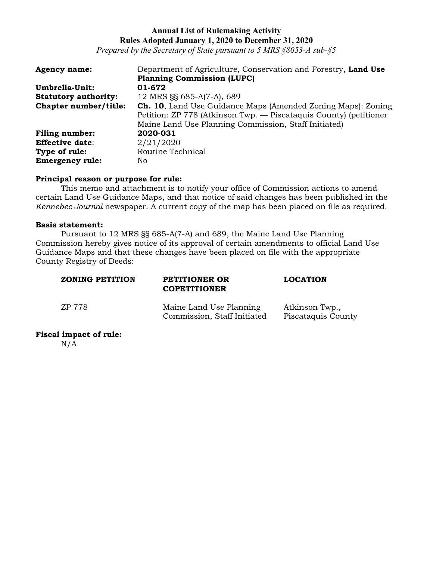*Prepared by the Secretary of State pursuant to 5 MRS §8053-A sub-§5*

| <b>Agency name:</b>         | Department of Agriculture, Conservation and Forestry, Land Use      |
|-----------------------------|---------------------------------------------------------------------|
|                             | <b>Planning Commission (LUPC)</b>                                   |
| Umbrella-Unit:              | 01-672                                                              |
| <b>Statutory authority:</b> | 12 MRS §§ 685-A(7-A), 689                                           |
| Chapter number/title:       | <b>Ch. 10, Land Use Guidance Maps (Amended Zoning Maps): Zoning</b> |
|                             | Petition: ZP 778 (Atkinson Twp. — Piscataquis County) (petitioner   |
|                             | Maine Land Use Planning Commission, Staff Initiated)                |
| <b>Filing number:</b>       | 2020-031                                                            |
| <b>Effective date:</b>      | 2/21/2020                                                           |
| Type of rule:               | Routine Technical                                                   |
| <b>Emergency rule:</b>      | No.                                                                 |

### **Principal reason or purpose for rule:**

This memo and attachment is to notify your office of Commission actions to amend certain Land Use Guidance Maps, and that notice of said changes has been published in the *Kennebec Journal* newspaper. A current copy of the map has been placed on file as required.

### **Basis statement:**

Pursuant to 12 MRS §§ 685-A(7-A) and 689, the Maine Land Use Planning Commission hereby gives notice of its approval of certain amendments to official Land Use Guidance Maps and that these changes have been placed on file with the appropriate County Registry of Deeds:

| <b>ZONING PETITION</b> | PETITIONER OR<br><b>COPETITIONER</b>                   | <b>LOCATION</b>                      |
|------------------------|--------------------------------------------------------|--------------------------------------|
| ZP 778                 | Maine Land Use Planning<br>Commission, Staff Initiated | Atkinson Twp.,<br>Piscataquis County |

# **Fiscal impact of rule:**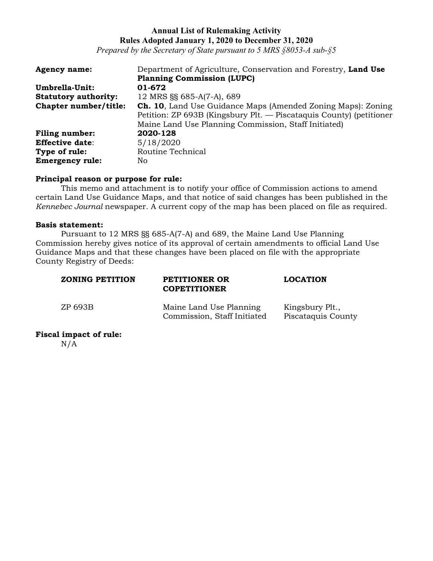*Prepared by the Secretary of State pursuant to 5 MRS §8053-A sub-§5*

| <b>Agency name:</b>         | Department of Agriculture, Conservation and Forestry, Land Use      |
|-----------------------------|---------------------------------------------------------------------|
|                             | <b>Planning Commission (LUPC)</b>                                   |
| Umbrella-Unit:              | 01-672                                                              |
| <b>Statutory authority:</b> | 12 MRS §§ 685-A(7-A), 689                                           |
| Chapter number/title:       | Ch. 10, Land Use Guidance Maps (Amended Zoning Maps): Zoning        |
|                             | Petition: ZP 693B (Kingsbury Plt. — Piscataquis County) (petitioner |
|                             | Maine Land Use Planning Commission, Staff Initiated)                |
| <b>Filing number:</b>       | 2020-128                                                            |
| <b>Effective date:</b>      | 5/18/2020                                                           |
| Type of rule:               | Routine Technical                                                   |
| <b>Emergency rule:</b>      | No                                                                  |

### **Principal reason or purpose for rule:**

This memo and attachment is to notify your office of Commission actions to amend certain Land Use Guidance Maps, and that notice of said changes has been published in the *Kennebec Journal* newspaper. A current copy of the map has been placed on file as required.

### **Basis statement:**

Pursuant to 12 MRS §§ 685-A(7-A) and 689, the Maine Land Use Planning Commission hereby gives notice of its approval of certain amendments to official Land Use Guidance Maps and that these changes have been placed on file with the appropriate County Registry of Deeds:

| <b>ZONING PETITION</b> | PETITIONER OR<br><b>COPETITIONER</b>                   | <b>LOCATION</b>                       |
|------------------------|--------------------------------------------------------|---------------------------------------|
| ZP 693B                | Maine Land Use Planning<br>Commission, Staff Initiated | Kingsbury Plt.,<br>Piscataquis County |

### **Fiscal impact of rule:**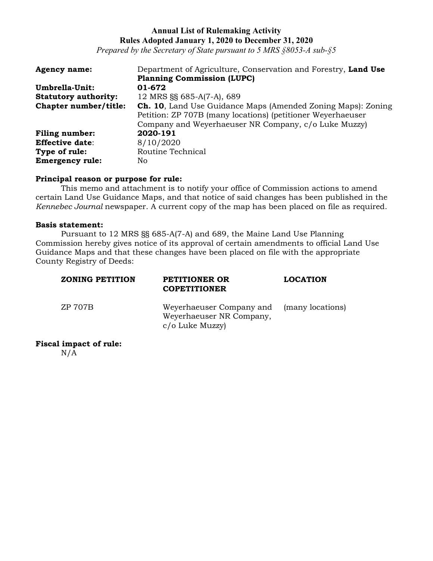*Prepared by the Secretary of State pursuant to 5 MRS §8053-A sub-§5*

| <b>Agency name:</b>         | Department of Agriculture, Conservation and Forestry, Land Use      |
|-----------------------------|---------------------------------------------------------------------|
|                             | <b>Planning Commission (LUPC)</b>                                   |
| Umbrella-Unit:              | 01-672                                                              |
| <b>Statutory authority:</b> | 12 MRS §§ 685-A(7-A), 689                                           |
| Chapter number/title:       | <b>Ch. 10, Land Use Guidance Maps (Amended Zoning Maps): Zoning</b> |
|                             | Petition: ZP 707B (many locations) (petitioner Weyerhaeuser         |
|                             | Company and Weyerhaeuser NR Company, c/o Luke Muzzy)                |
| <b>Filing number:</b>       | 2020-191                                                            |
| <b>Effective date:</b>      | 8/10/2020                                                           |
| Type of rule:               | Routine Technical                                                   |
| <b>Emergency rule:</b>      | No                                                                  |

### **Principal reason or purpose for rule:**

This memo and attachment is to notify your office of Commission actions to amend certain Land Use Guidance Maps, and that notice of said changes has been published in the *Kennebec Journal* newspaper. A current copy of the map has been placed on file as required.

### **Basis statement:**

Pursuant to 12 MRS §§ 685-A(7-A) and 689, the Maine Land Use Planning Commission hereby gives notice of its approval of certain amendments to official Land Use Guidance Maps and that these changes have been placed on file with the appropriate County Registry of Deeds:

| <b>ZONING PETITION</b> | PETITIONER OR<br><b>COPETITIONER</b>                                    | <b>LOCATION</b>  |
|------------------------|-------------------------------------------------------------------------|------------------|
| ZP 707B                | Weyerhaeuser Company and<br>Weyerhaeuser NR Company,<br>c/o Luke Muzzy) | (many locations) |

**Fiscal impact of rule:**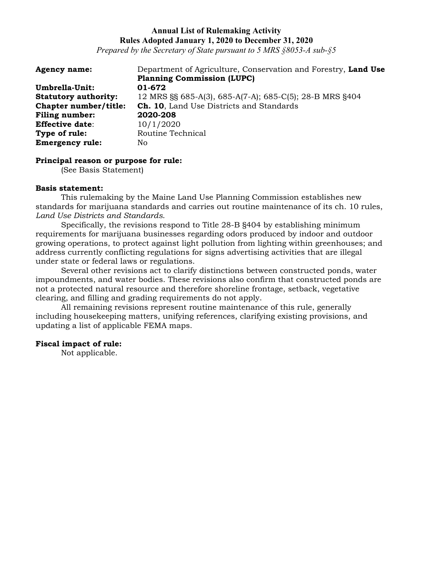*Prepared by the Secretary of State pursuant to 5 MRS §8053-A sub-§5*

| <b>Agency name:</b>         | Department of Agriculture, Conservation and Forestry, Land Use |
|-----------------------------|----------------------------------------------------------------|
|                             | <b>Planning Commission (LUPC)</b>                              |
| Umbrella-Unit:              | 01-672                                                         |
| <b>Statutory authority:</b> | 12 MRS §§ 685-A(3), 685-A(7-A); 685-C(5); 28-B MRS §404        |
| Chapter number/title:       | <b>Ch. 10, Land Use Districts and Standards</b>                |
| Filing number:              | 2020-208                                                       |
| <b>Effective date:</b>      | 10/1/2020                                                      |
| Type of rule:               | Routine Technical                                              |
| <b>Emergency rule:</b>      | No                                                             |

#### **Principal reason or purpose for rule:**

(See Basis Statement)

#### **Basis statement:**

This rulemaking by the Maine Land Use Planning Commission establishes new standards for marijuana standards and carries out routine maintenance of its ch. 10 rules, *Land Use Districts and Standards*.

Specifically, the revisions respond to Title 28-B §404 by establishing minimum requirements for marijuana businesses regarding odors produced by indoor and outdoor growing operations, to protect against light pollution from lighting within greenhouses; and address currently conflicting regulations for signs advertising activities that are illegal under state or federal laws or regulations.

Several other revisions act to clarify distinctions between constructed ponds, water impoundments, and water bodies. These revisions also confirm that constructed ponds are not a protected natural resource and therefore shoreline frontage, setback, vegetative clearing, and filling and grading requirements do not apply.

All remaining revisions represent routine maintenance of this rule, generally including housekeeping matters, unifying references, clarifying existing provisions, and updating a list of applicable FEMA maps.

### **Fiscal impact of rule:**

Not applicable.